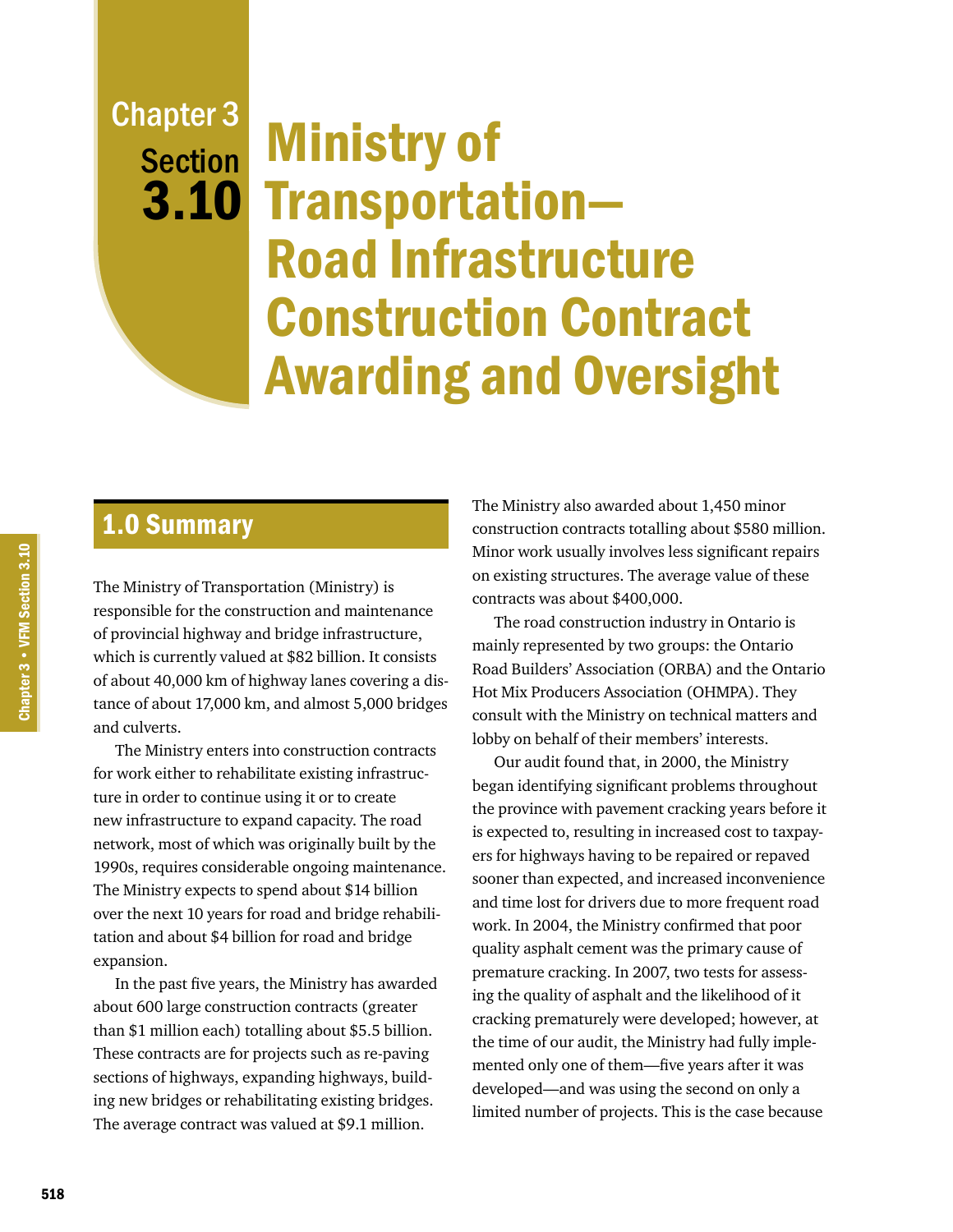# Chapter 3 **Section**

# Ministry of 3.10 Transportation-Road Infrastructure Construction Contract Awarding and Oversight

# 1.0 Summary

The Ministry of Transportation (Ministry) is responsible for the construction and maintenance of provincial highway and bridge infrastructure, which is currently valued at \$82 billion. It consists of about 40,000 km of highway lanes covering a distance of about 17,000 km, and almost 5,000 bridges and culverts.

The Ministry enters into construction contracts for work either to rehabilitate existing infrastructure in order to continue using it or to create new infrastructure to expand capacity. The road network, most of which was originally built by the 1990s, requires considerable ongoing maintenance. The Ministry expects to spend about \$14 billion over the next 10 years for road and bridge rehabilitation and about \$4 billion for road and bridge expansion.

In the past five years, the Ministry has awarded about 600 large construction contracts (greater than \$1 million each) totalling about \$5.5 billion. These contracts are for projects such as re-paving sections of highways, expanding highways, building new bridges or rehabilitating existing bridges. The average contract was valued at \$9.1 million.

The Ministry also awarded about 1,450 minor construction contracts totalling about \$580 million. Minor work usually involves less significant repairs on existing structures. The average value of these contracts was about \$400,000.

The road construction industry in Ontario is mainly represented by two groups: the Ontario Road Builders' Association (ORBA) and the Ontario Hot Mix Producers Association (OHMPA). They consult with the Ministry on technical matters and lobby on behalf of their members' interests.

Our audit found that, in 2000, the Ministry began identifying significant problems throughout the province with pavement cracking years before it is expected to, resulting in increased cost to taxpayers for highways having to be repaired or repaved sooner than expected, and increased inconvenience and time lost for drivers due to more frequent road work. In 2004, the Ministry confirmed that poor quality asphalt cement was the primary cause of premature cracking. In 2007, two tests for assessing the quality of asphalt and the likelihood of it cracking prematurely were developed; however, at the time of our audit, the Ministry had fully implemented only one of them—five years after it was developed—and was using the second on only a limited number of projects. This is the case because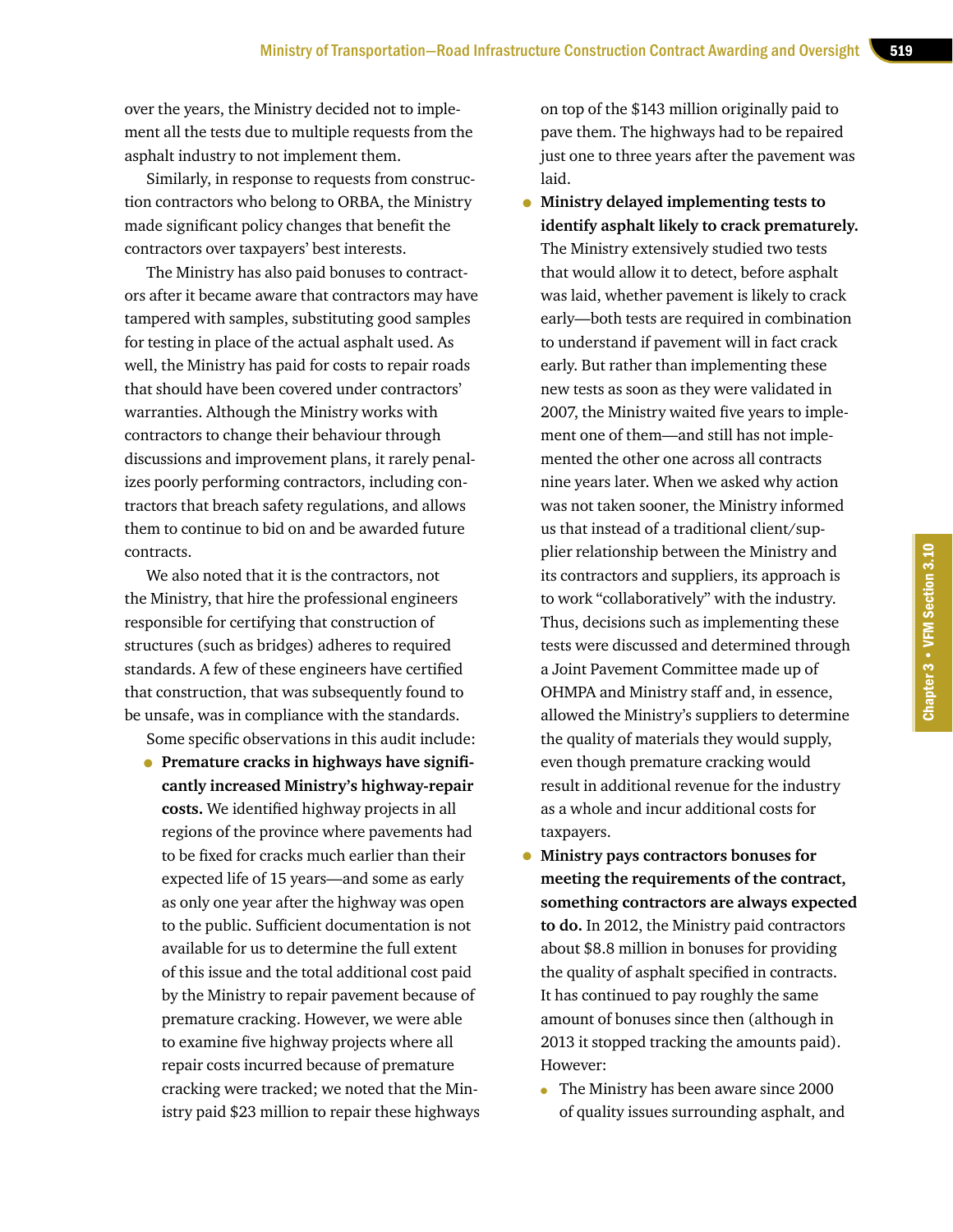over the years, the Ministry decided not to implement all the tests due to multiple requests from the asphalt industry to not implement them.

Similarly, in response to requests from construction contractors who belong to ORBA, the Ministry made significant policy changes that benefit the contractors over taxpayers' best interests.

The Ministry has also paid bonuses to contractors after it became aware that contractors may have tampered with samples, substituting good samples for testing in place of the actual asphalt used. As well, the Ministry has paid for costs to repair roads that should have been covered under contractors' warranties. Although the Ministry works with contractors to change their behaviour through discussions and improvement plans, it rarely penalizes poorly performing contractors, including contractors that breach safety regulations, and allows them to continue to bid on and be awarded future contracts.

We also noted that it is the contractors, not the Ministry, that hire the professional engineers responsible for certifying that construction of structures (such as bridges) adheres to required standards. A few of these engineers have certified that construction, that was subsequently found to be unsafe, was in compliance with the standards.

Some specific observations in this audit include:

• **Premature cracks in highways have significantly increased Ministry's highway-repair costs.** We identified highway projects in all regions of the province where pavements had to be fixed for cracks much earlier than their expected life of 15 years—and some as early as only one year after the highway was open to the public. Sufficient documentation is not available for us to determine the full extent of this issue and the total additional cost paid by the Ministry to repair pavement because of premature cracking. However, we were able to examine five highway projects where all repair costs incurred because of premature cracking were tracked; we noted that the Ministry paid \$23 million to repair these highways on top of the \$143 million originally paid to pave them. The highways had to be repaired just one to three years after the pavement was laid.

• **Ministry delayed implementing tests to identify asphalt likely to crack prematurely.** The Ministry extensively studied two tests that would allow it to detect, before asphalt was laid, whether pavement is likely to crack early—both tests are required in combination to understand if pavement will in fact crack early. But rather than implementing these new tests as soon as they were validated in 2007, the Ministry waited five years to implement one of them—and still has not implemented the other one across all contracts nine years later. When we asked why action was not taken sooner, the Ministry informed us that instead of a traditional client/supplier relationship between the Ministry and its contractors and suppliers, its approach is to work "collaboratively" with the industry. Thus, decisions such as implementing these tests were discussed and determined through a Joint Pavement Committee made up of OHMPA and Ministry staff and, in essence, allowed the Ministry's suppliers to determine the quality of materials they would supply, even though premature cracking would result in additional revenue for the industry as a whole and incur additional costs for taxpayers.

- **Ministry pays contractors bonuses for meeting the requirements of the contract, something contractors are always expected to do.** In 2012, the Ministry paid contractors about \$8.8 million in bonuses for providing the quality of asphalt specified in contracts. It has continued to pay roughly the same amount of bonuses since then (although in 2013 it stopped tracking the amounts paid). However:
	- The Ministry has been aware since 2000 of quality issues surrounding asphalt, and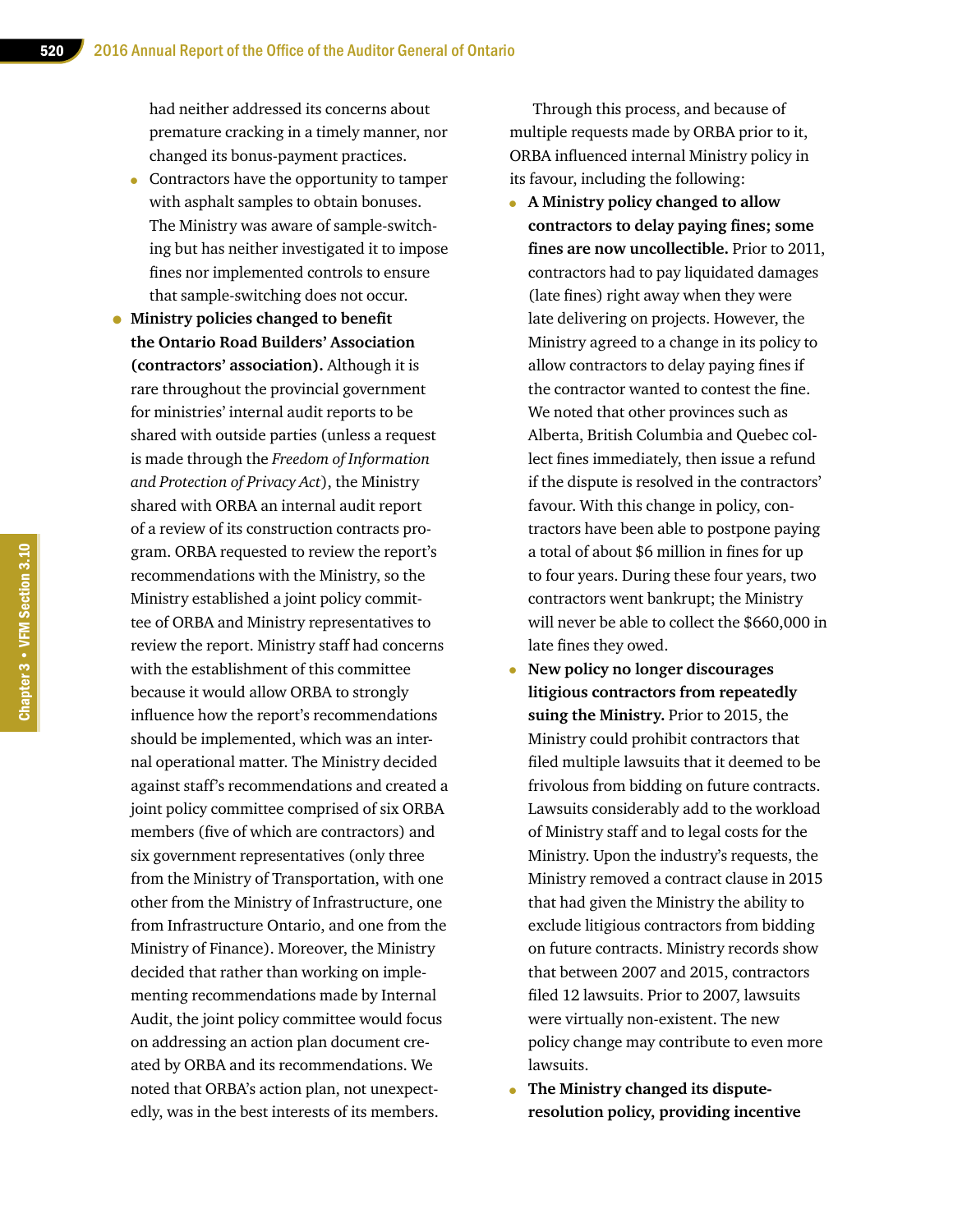had neither addressed its concerns about premature cracking in a timely manner, nor changed its bonus-payment practices.

- Contractors have the opportunity to tamper with asphalt samples to obtain bonuses. The Ministry was aware of sample-switching but has neither investigated it to impose fines nor implemented controls to ensure that sample-switching does not occur.
- **Ministry policies changed to benefit the Ontario Road Builders' Association (contractors' association).** Although it is rare throughout the provincial government for ministries' internal audit reports to be shared with outside parties (unless a request is made through the *Freedom of Information and Protection of Privacy Act*), the Ministry shared with ORBA an internal audit report of a review of its construction contracts program. ORBA requested to review the report's recommendations with the Ministry, so the Ministry established a joint policy committee of ORBA and Ministry representatives to review the report. Ministry staff had concerns with the establishment of this committee because it would allow ORBA to strongly influence how the report's recommendations should be implemented, which was an internal operational matter. The Ministry decided against staff's recommendations and created a joint policy committee comprised of six ORBA members (five of which are contractors) and six government representatives (only three from the Ministry of Transportation, with one other from the Ministry of Infrastructure, one from Infrastructure Ontario, and one from the Ministry of Finance). Moreover, the Ministry decided that rather than working on implementing recommendations made by Internal Audit, the joint policy committee would focus on addressing an action plan document created by ORBA and its recommendations. We noted that ORBA's action plan, not unexpectedly, was in the best interests of its members.

Through this process, and because of multiple requests made by ORBA prior to it, ORBA influenced internal Ministry policy in its favour, including the following:

- **A Ministry policy changed to allow contractors to delay paying fines; some fines are now uncollectible.** Prior to 2011, contractors had to pay liquidated damages (late fines) right away when they were late delivering on projects. However, the Ministry agreed to a change in its policy to allow contractors to delay paying fines if the contractor wanted to contest the fine. We noted that other provinces such as Alberta, British Columbia and Quebec collect fines immediately, then issue a refund if the dispute is resolved in the contractors' favour. With this change in policy, contractors have been able to postpone paying a total of about \$6 million in fines for up to four years. During these four years, two contractors went bankrupt; the Ministry will never be able to collect the \$660,000 in late fines they owed.
- **New policy no longer discourages litigious contractors from repeatedly suing the Ministry.** Prior to 2015, the Ministry could prohibit contractors that filed multiple lawsuits that it deemed to be frivolous from bidding on future contracts. Lawsuits considerably add to the workload of Ministry staff and to legal costs for the Ministry. Upon the industry's requests, the Ministry removed a contract clause in 2015 that had given the Ministry the ability to exclude litigious contractors from bidding on future contracts. Ministry records show that between 2007 and 2015, contractors filed 12 lawsuits. Prior to 2007, lawsuits were virtually non-existent. The new policy change may contribute to even more lawsuits.
- **The Ministry changed its disputeresolution policy, providing incentive**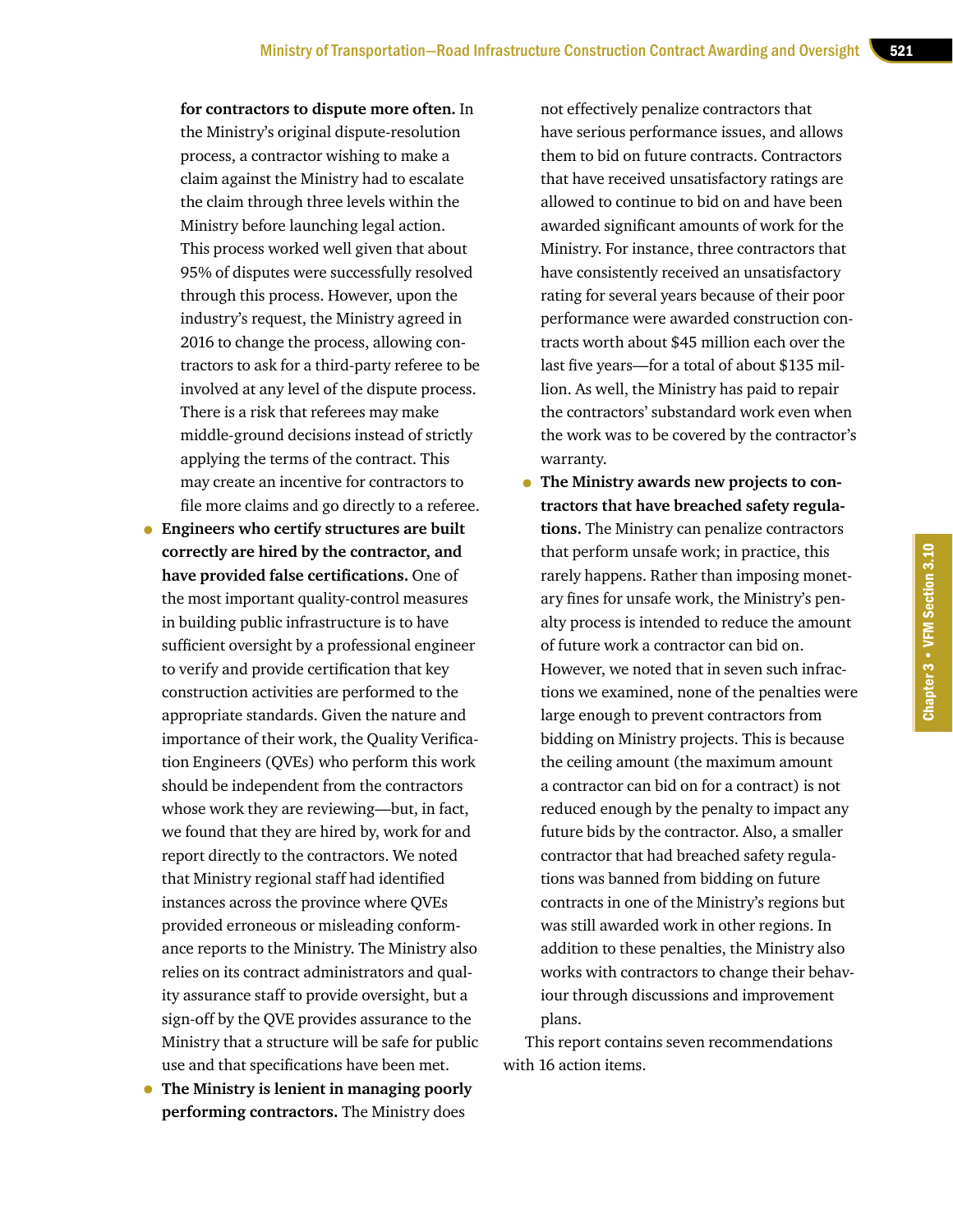**for contractors to dispute more often.** In the Ministry's original dispute-resolution process, a contractor wishing to make a claim against the Ministry had to escalate the claim through three levels within the Ministry before launching legal action. This process worked well given that about 95% of disputes were successfully resolved through this process. However, upon the industry's request, the Ministry agreed in 2016 to change the process, allowing contractors to ask for a third-party referee to be involved at any level of the dispute process. There is a risk that referees may make middle-ground decisions instead of strictly applying the terms of the contract. This may create an incentive for contractors to file more claims and go directly to a referee.

- **Engineers who certify structures are built correctly are hired by the contractor, and have provided false certifications.** One of the most important quality-control measures in building public infrastructure is to have sufficient oversight by a professional engineer to verify and provide certification that key construction activities are performed to the appropriate standards. Given the nature and importance of their work, the Quality Verification Engineers (QVEs) who perform this work should be independent from the contractors whose work they are reviewing—but, in fact, we found that they are hired by, work for and report directly to the contractors. We noted that Ministry regional staff had identified instances across the province where QVEs provided erroneous or misleading conformance reports to the Ministry. The Ministry also relies on its contract administrators and quality assurance staff to provide oversight, but a sign-off by the QVE provides assurance to the Ministry that a structure will be safe for public use and that specifications have been met.
- **The Ministry is lenient in managing poorly performing contractors.** The Ministry does

not effectively penalize contractors that have serious performance issues, and allows them to bid on future contracts. Contractors that have received unsatisfactory ratings are allowed to continue to bid on and have been awarded significant amounts of work for the Ministry. For instance, three contractors that have consistently received an unsatisfactory rating for several years because of their poor performance were awarded construction contracts worth about \$45 million each over the last five years—for a total of about \$135 million. As well, the Ministry has paid to repair the contractors' substandard work even when the work was to be covered by the contractor's warranty.

• **The Ministry awards new projects to contractors that have breached safety regulations.** The Ministry can penalize contractors that perform unsafe work; in practice, this rarely happens. Rather than imposing monetary fines for unsafe work, the Ministry's penalty process is intended to reduce the amount of future work a contractor can bid on. However, we noted that in seven such infractions we examined, none of the penalties were large enough to prevent contractors from bidding on Ministry projects. This is because the ceiling amount (the maximum amount a contractor can bid on for a contract) is not reduced enough by the penalty to impact any future bids by the contractor. Also, a smaller contractor that had breached safety regulations was banned from bidding on future contracts in one of the Ministry's regions but was still awarded work in other regions. In addition to these penalties, the Ministry also works with contractors to change their behaviour through discussions and improvement plans.

This report contains seven recommendations with 16 action items.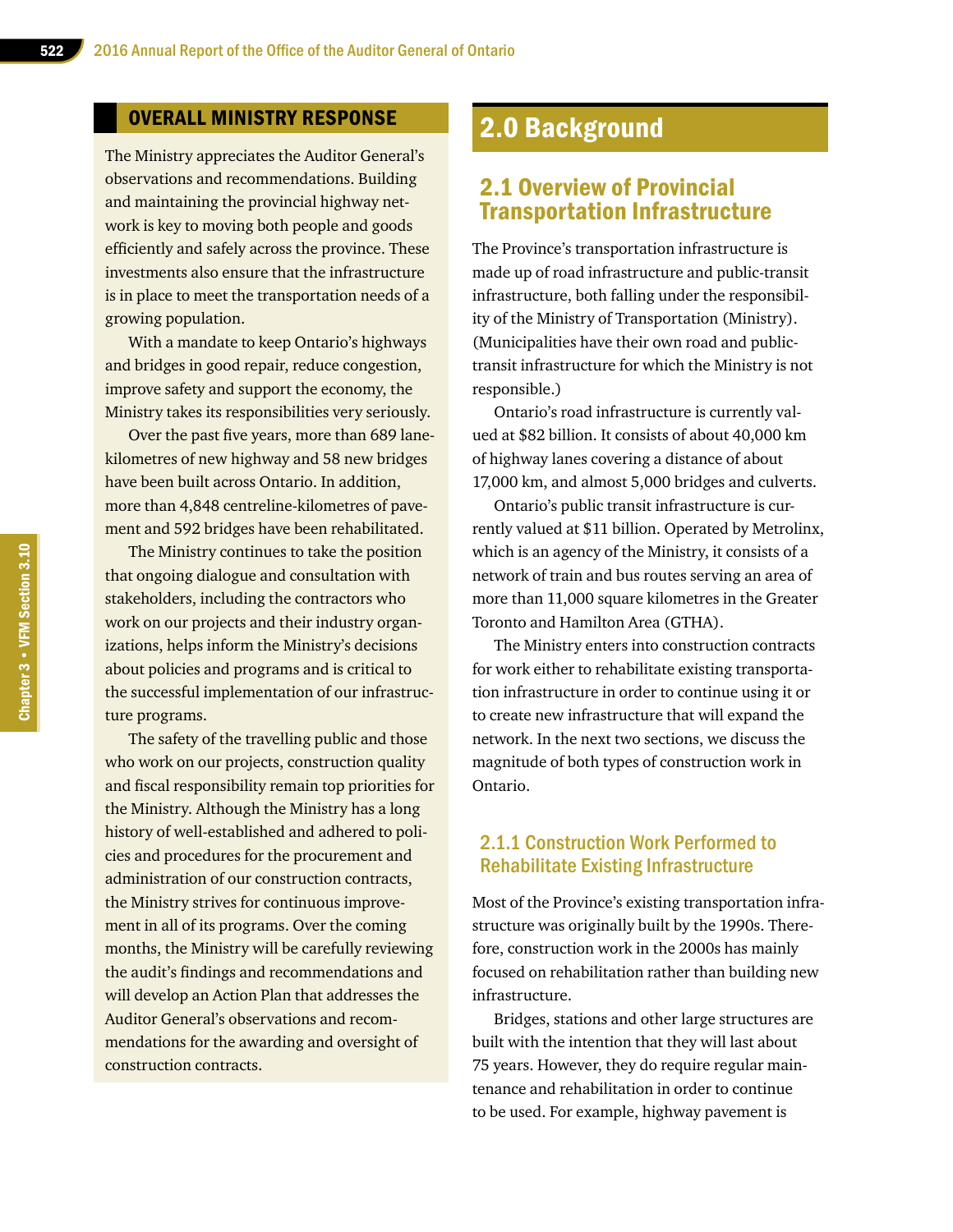#### OVERALL MINISTRY RESPONSE

The Ministry appreciates the Auditor General's observations and recommendations. Building and maintaining the provincial highway network is key to moving both people and goods efficiently and safely across the province. These investments also ensure that the infrastructure is in place to meet the transportation needs of a growing population.

With a mandate to keep Ontario's highways and bridges in good repair, reduce congestion, improve safety and support the economy, the Ministry takes its responsibilities very seriously.

Over the past five years, more than 689 lanekilometres of new highway and 58 new bridges have been built across Ontario. In addition, more than 4,848 centreline-kilometres of pavement and 592 bridges have been rehabilitated.

The Ministry continues to take the position that ongoing dialogue and consultation with stakeholders, including the contractors who work on our projects and their industry organizations, helps inform the Ministry's decisions about policies and programs and is critical to the successful implementation of our infrastructure programs.

The safety of the travelling public and those who work on our projects, construction quality and fiscal responsibility remain top priorities for the Ministry. Although the Ministry has a long history of well-established and adhered to policies and procedures for the procurement and administration of our construction contracts, the Ministry strives for continuous improvement in all of its programs. Over the coming months, the Ministry will be carefully reviewing the audit's findings and recommendations and will develop an Action Plan that addresses the Auditor General's observations and recommendations for the awarding and oversight of construction contracts.

# 2.0 Background

# 2.1 Overview of Provincial Transportation Infrastructure

The Province's transportation infrastructure is made up of road infrastructure and public-transit infrastructure, both falling under the responsibility of the Ministry of Transportation (Ministry). (Municipalities have their own road and publictransit infrastructure for which the Ministry is not responsible.)

Ontario's road infrastructure is currently valued at \$82 billion. It consists of about 40,000 km of highway lanes covering a distance of about 17,000 km, and almost 5,000 bridges and culverts.

Ontario's public transit infrastructure is currently valued at \$11 billion. Operated by Metrolinx, which is an agency of the Ministry, it consists of a network of train and bus routes serving an area of more than 11,000 square kilometres in the Greater Toronto and Hamilton Area (GTHA).

The Ministry enters into construction contracts for work either to rehabilitate existing transportation infrastructure in order to continue using it or to create new infrastructure that will expand the network. In the next two sections, we discuss the magnitude of both types of construction work in Ontario.

#### 2.1.1 Construction Work Performed to Rehabilitate Existing Infrastructure

Most of the Province's existing transportation infrastructure was originally built by the 1990s. Therefore, construction work in the 2000s has mainly focused on rehabilitation rather than building new infrastructure.

Bridges, stations and other large structures are built with the intention that they will last about 75 years. However, they do require regular maintenance and rehabilitation in order to continue to be used. For example, highway pavement is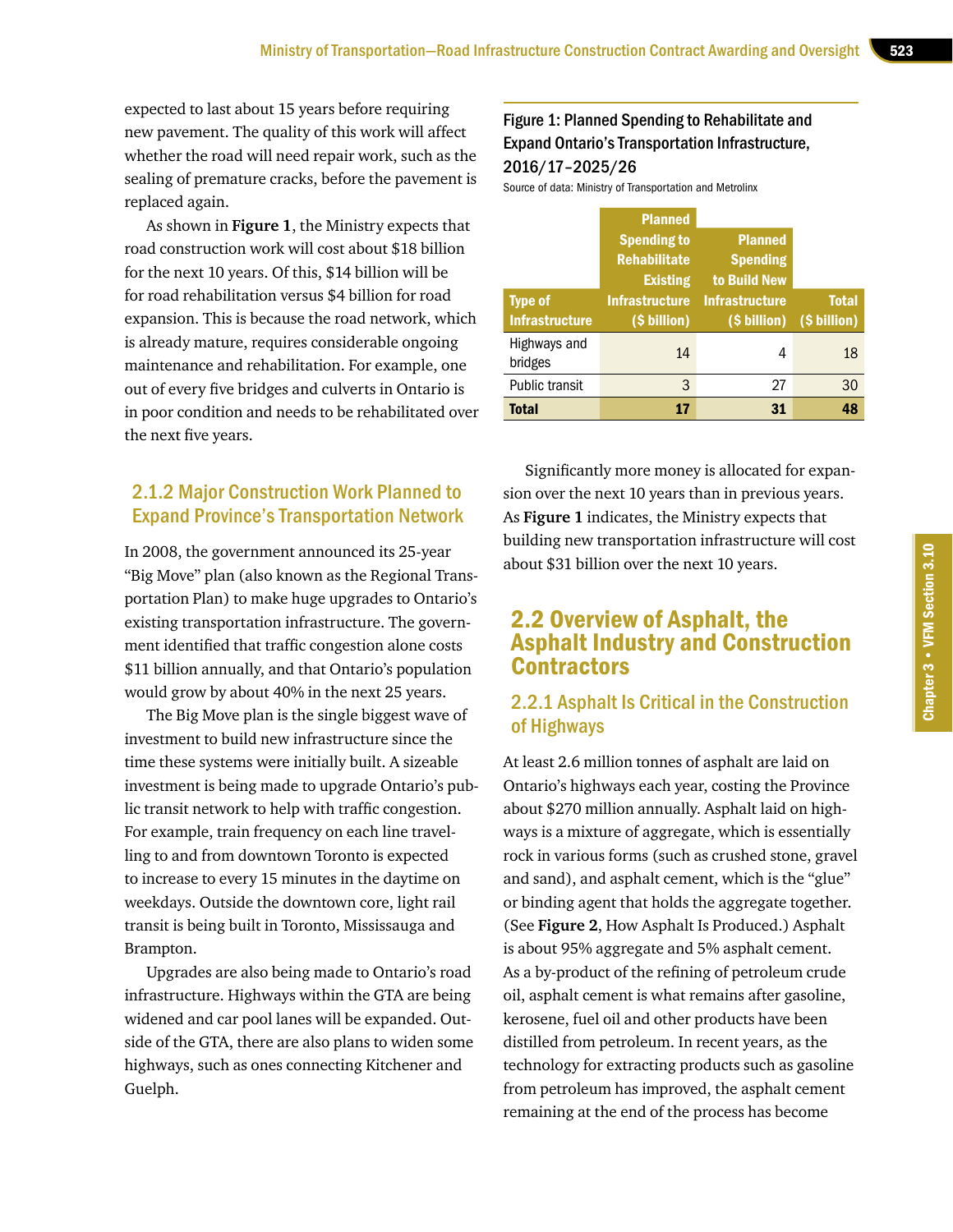expected to last about 15 years before requiring new pavement. The quality of this work will affect whether the road will need repair work, such as the sealing of premature cracks, before the pavement is replaced again.

As shown in **Figure 1**, the Ministry expects that road construction work will cost about \$18 billion for the next 10 years. Of this, \$14 billion will be for road rehabilitation versus \$4 billion for road expansion. This is because the road network, which is already mature, requires considerable ongoing maintenance and rehabilitation. For example, one out of every five bridges and culverts in Ontario is in poor condition and needs to be rehabilitated over the next five years.

## 2.1.2 Major Construction Work Planned to Expand Province's Transportation Network

In 2008, the government announced its 25-year "Big Move" plan (also known as the Regional Transportation Plan) to make huge upgrades to Ontario's existing transportation infrastructure. The government identified that traffic congestion alone costs \$11 billion annually, and that Ontario's population would grow by about 40% in the next 25 years.

The Big Move plan is the single biggest wave of investment to build new infrastructure since the time these systems were initially built. A sizeable investment is being made to upgrade Ontario's public transit network to help with traffic congestion. For example, train frequency on each line travelling to and from downtown Toronto is expected to increase to every 15 minutes in the daytime on weekdays. Outside the downtown core, light rail transit is being built in Toronto, Mississauga and Brampton.

Upgrades are also being made to Ontario's road infrastructure. Highways within the GTA are being widened and car pool lanes will be expanded. Outside of the GTA, there are also plans to widen some highways, such as ones connecting Kitchener and Guelph.

## Figure 1: Planned Spending to Rehabilitate and Expand Ontario's Transportation Infrastructure, 2016/17–2025/26

Source of data: Ministry of Transportation and Metrolinx

|                         | <b>Planned</b>        |                       |              |
|-------------------------|-----------------------|-----------------------|--------------|
|                         | <b>Spending to</b>    | <b>Planned</b>        |              |
|                         | <b>Rehabilitate</b>   | <b>Spending</b>       |              |
|                         | <b>Existing</b>       | to Build New          |              |
| <b>Type of</b>          | <b>Infrastructure</b> | <b>Infrastructure</b> | <b>Total</b> |
| <b>Infrastructure</b>   | (\$ billion)          | (\$ billion)          | (\$ billion) |
| Highways and<br>bridges | 14                    | 4                     | 18           |
| Public transit          | 3                     | 27                    | 30           |
| <b>Total</b>            | 17                    | 31                    | 48           |

Significantly more money is allocated for expansion over the next 10 years than in previous years. As **Figure 1** indicates, the Ministry expects that building new transportation infrastructure will cost about \$31 billion over the next 10 years.

# 2.2 Overview of Asphalt, the Asphalt Industry and Construction **Contractors**

#### 2.2.1 Asphalt Is Critical in the Construction of Highways

At least 2.6 million tonnes of asphalt are laid on Ontario's highways each year, costing the Province about \$270 million annually. Asphalt laid on highways is a mixture of aggregate, which is essentially rock in various forms (such as crushed stone, gravel and sand), and asphalt cement, which is the "glue" or binding agent that holds the aggregate together. (See **Figure 2**, How Asphalt Is Produced.) Asphalt is about 95% aggregate and 5% asphalt cement. As a by-product of the refining of petroleum crude oil, asphalt cement is what remains after gasoline, kerosene, fuel oil and other products have been distilled from petroleum. In recent years, as the technology for extracting products such as gasoline from petroleum has improved, the asphalt cement remaining at the end of the process has become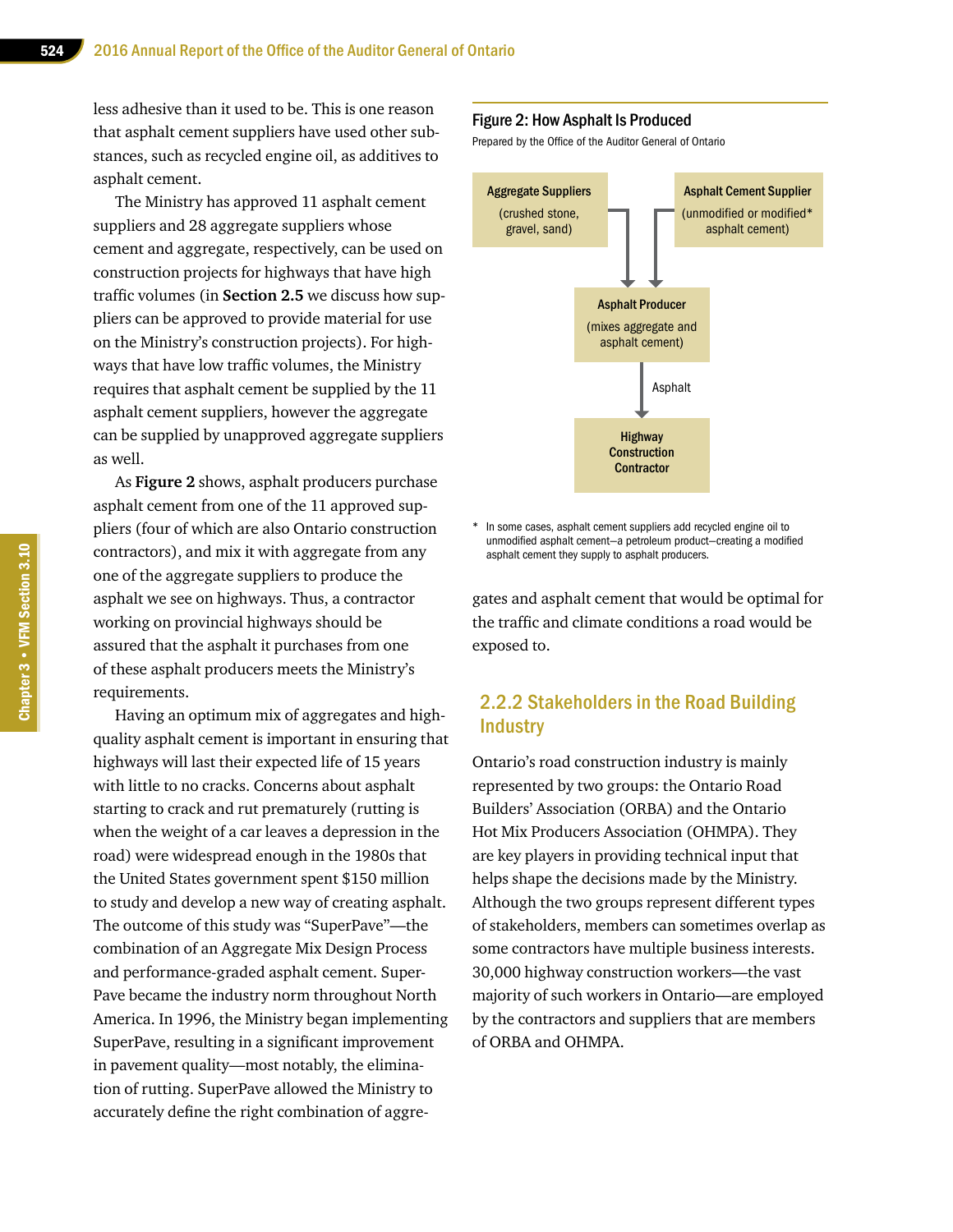less adhesive than it used to be. This is one reason that asphalt cement suppliers have used other substances, such as recycled engine oil, as additives to asphalt cement.

The Ministry has approved 11 asphalt cement suppliers and 28 aggregate suppliers whose cement and aggregate, respectively, can be used on construction projects for highways that have high traffic volumes (in **Section 2.5** we discuss how suppliers can be approved to provide material for use on the Ministry's construction projects). For highways that have low traffic volumes, the Ministry requires that asphalt cement be supplied by the 11 asphalt cement suppliers, however the aggregate can be supplied by unapproved aggregate suppliers as well.

As **Figure 2** shows, asphalt producers purchase asphalt cement from one of the 11 approved suppliers (four of which are also Ontario construction contractors), and mix it with aggregate from any one of the aggregate suppliers to produce the asphalt we see on highways. Thus, a contractor working on provincial highways should be assured that the asphalt it purchases from one of these asphalt producers meets the Ministry's requirements.

Having an optimum mix of aggregates and highquality asphalt cement is important in ensuring that highways will last their expected life of 15 years with little to no cracks. Concerns about asphalt starting to crack and rut prematurely (rutting is when the weight of a car leaves a depression in the road) were widespread enough in the 1980s that the United States government spent \$150 million to study and develop a new way of creating asphalt. The outcome of this study was "SuperPave"—the combination of an Aggregate Mix Design Process and performance-graded asphalt cement. Super-Pave became the industry norm throughout North America. In 1996, the Ministry began implementing SuperPave, resulting in a significant improvement in pavement quality—most notably, the elimination of rutting. SuperPave allowed the Ministry to accurately define the right combination of aggre-

#### Figure 2: How Asphalt Is Produced

Prepared by the Office of the Auditor General of Ontario



\* In some cases, asphalt cement suppliers add recycled engine oil to unmodified asphalt cement—a petroleum product—creating a modified asphalt cement they supply to asphalt producers.

gates and asphalt cement that would be optimal for the traffic and climate conditions a road would be exposed to.

#### 2.2.2 Stakeholders in the Road Building **Industry**

Ontario's road construction industry is mainly represented by two groups: the Ontario Road Builders' Association (ORBA) and the Ontario Hot Mix Producers Association (OHMPA). They are key players in providing technical input that helps shape the decisions made by the Ministry. Although the two groups represent different types of stakeholders, members can sometimes overlap as some contractors have multiple business interests. 30,000 highway construction workers—the vast majority of such workers in Ontario—are employed by the contractors and suppliers that are members of ORBA and OHMPA.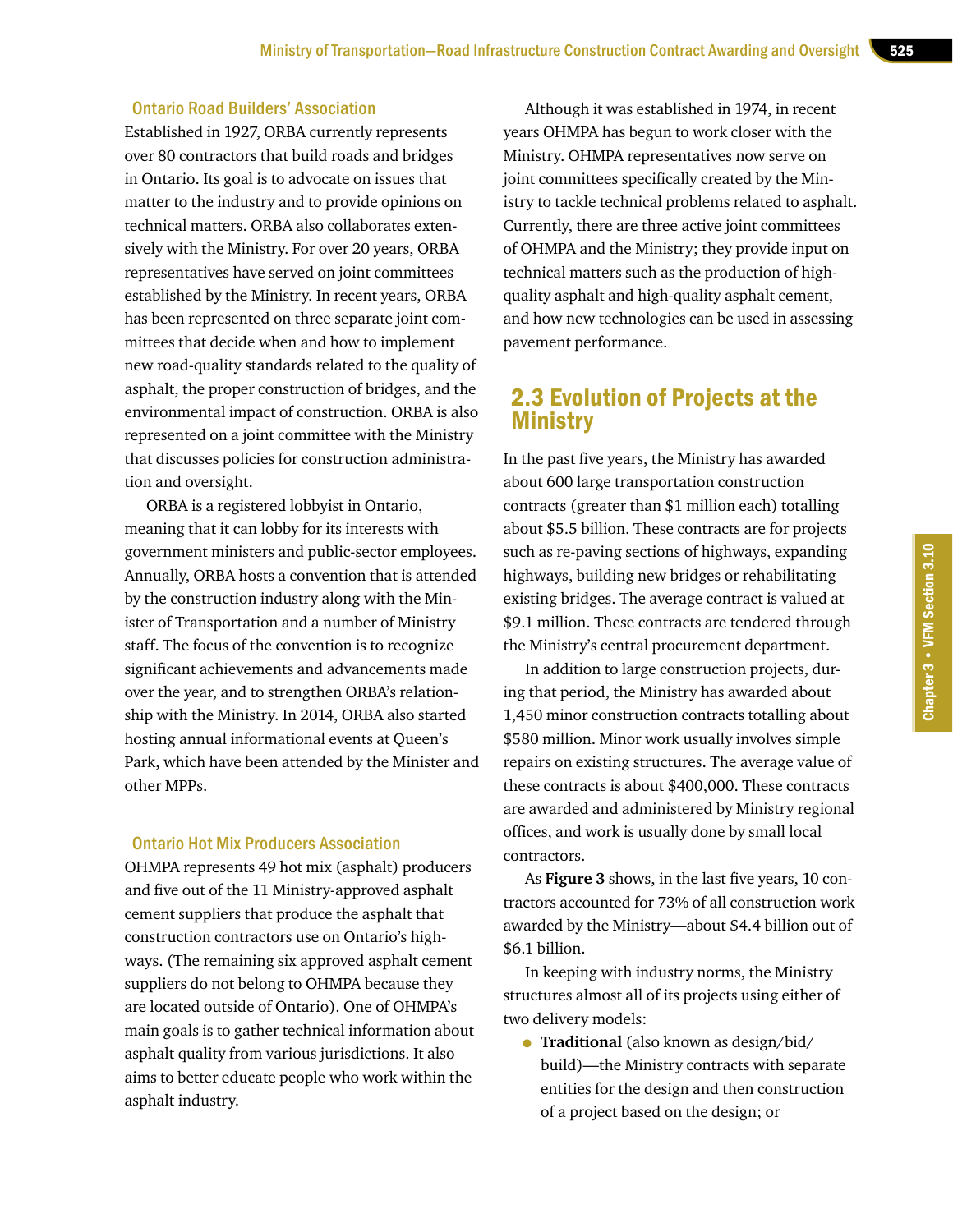#### Ontario Road Builders' Association

Established in 1927, ORBA currently represents over 80 contractors that build roads and bridges in Ontario. Its goal is to advocate on issues that matter to the industry and to provide opinions on technical matters. ORBA also collaborates extensively with the Ministry. For over 20 years, ORBA representatives have served on joint committees established by the Ministry. In recent years, ORBA has been represented on three separate joint committees that decide when and how to implement new road-quality standards related to the quality of asphalt, the proper construction of bridges, and the environmental impact of construction. ORBA is also represented on a joint committee with the Ministry that discusses policies for construction administration and oversight.

ORBA is a registered lobbyist in Ontario, meaning that it can lobby for its interests with government ministers and public-sector employees. Annually, ORBA hosts a convention that is attended by the construction industry along with the Minister of Transportation and a number of Ministry staff. The focus of the convention is to recognize significant achievements and advancements made over the year, and to strengthen ORBA's relationship with the Ministry. In 2014, ORBA also started hosting annual informational events at Queen's Park, which have been attended by the Minister and other MPPs.

#### Ontario Hot Mix Producers Association

OHMPA represents 49 hot mix (asphalt) producers and five out of the 11 Ministry-approved asphalt cement suppliers that produce the asphalt that construction contractors use on Ontario's highways. (The remaining six approved asphalt cement suppliers do not belong to OHMPA because they are located outside of Ontario). One of OHMPA's main goals is to gather technical information about asphalt quality from various jurisdictions. It also aims to better educate people who work within the asphalt industry.

Although it was established in 1974, in recent years OHMPA has begun to work closer with the Ministry. OHMPA representatives now serve on joint committees specifically created by the Ministry to tackle technical problems related to asphalt. Currently, there are three active joint committees of OHMPA and the Ministry; they provide input on technical matters such as the production of highquality asphalt and high-quality asphalt cement, and how new technologies can be used in assessing pavement performance.

# 2.3 Evolution of Projects at the **Ministry**

In the past five years, the Ministry has awarded about 600 large transportation construction contracts (greater than \$1 million each) totalling about \$5.5 billion. These contracts are for projects such as re-paving sections of highways, expanding highways, building new bridges or rehabilitating existing bridges. The average contract is valued at \$9.1 million. These contracts are tendered through the Ministry's central procurement department.

In addition to large construction projects, during that period, the Ministry has awarded about 1,450 minor construction contracts totalling about \$580 million. Minor work usually involves simple repairs on existing structures. The average value of these contracts is about \$400,000. These contracts are awarded and administered by Ministry regional offices, and work is usually done by small local contractors.

As **Figure 3** shows, in the last five years, 10 contractors accounted for 73% of all construction work awarded by the Ministry—about \$4.4 billion out of \$6.1 billion.

In keeping with industry norms, the Ministry structures almost all of its projects using either of two delivery models:

• **Traditional** (also known as design/bid/ build)—the Ministry contracts with separate entities for the design and then construction of a project based on the design; or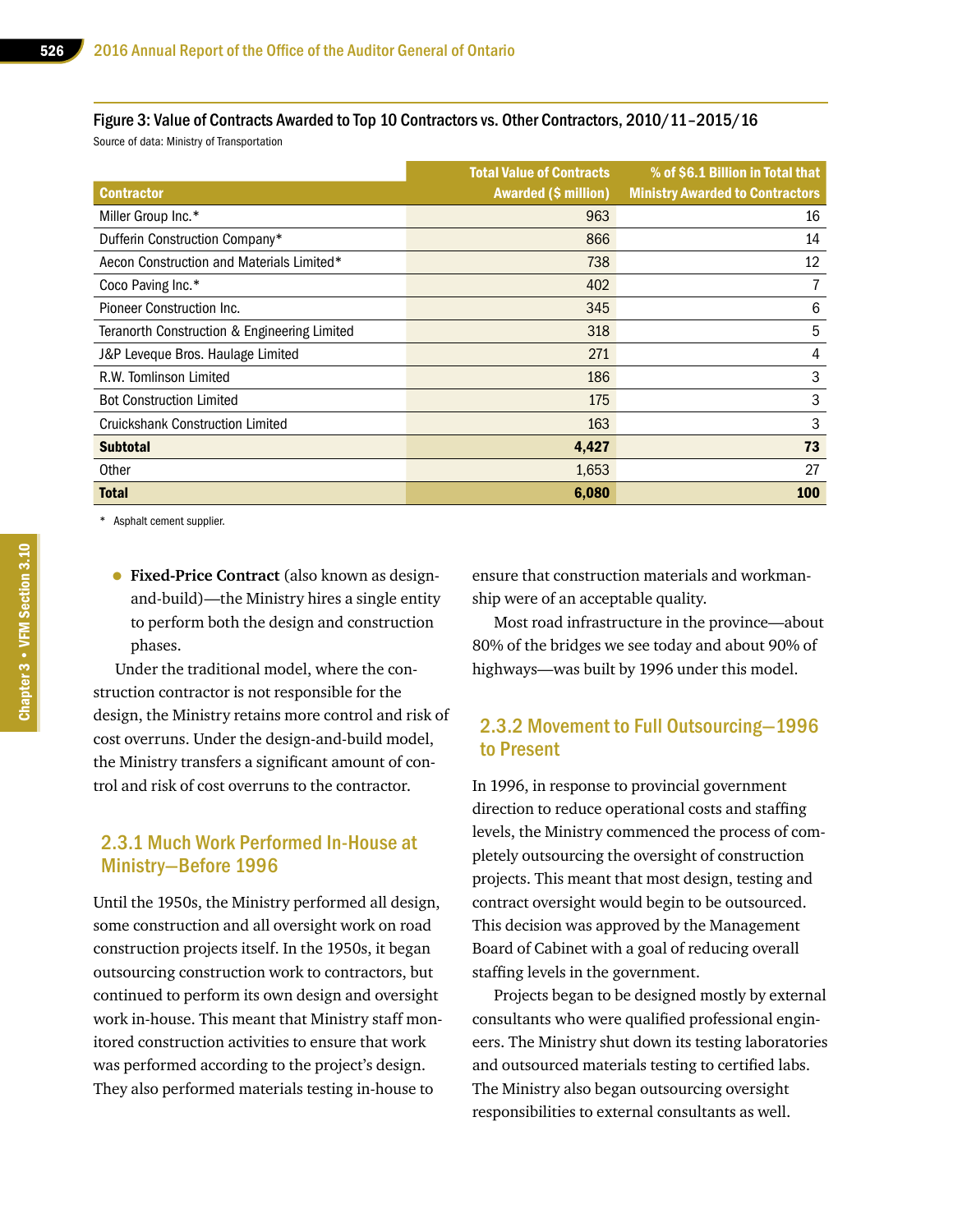Figure 3: Value of Contracts Awarded to Top 10 Contractors vs. Other Contractors, 2010/11–2015/16

Source of data: Ministry of Transportation

|                                              | <b>Total Value of Contracts</b> | % of \$6.1 Billion in Total that       |
|----------------------------------------------|---------------------------------|----------------------------------------|
| <b>Contractor</b>                            | <b>Awarded (\$ million)</b>     | <b>Ministry Awarded to Contractors</b> |
| Miller Group Inc.*                           | 963                             | 16                                     |
| Dufferin Construction Company*               | 866                             | 14                                     |
| Aecon Construction and Materials Limited*    | 738                             | 12                                     |
| Coco Paving Inc.*                            | 402                             |                                        |
| Pioneer Construction Inc.                    | 345                             | 6                                      |
| Teranorth Construction & Engineering Limited | 318                             | 5                                      |
| J&P Leveque Bros. Haulage Limited            | 271                             | 4                                      |
| R.W. Tomlinson Limited                       | 186                             | 3                                      |
| <b>Bot Construction Limited</b>              | 175                             | 3                                      |
| <b>Cruickshank Construction Limited</b>      | 163                             | 3                                      |
| <b>Subtotal</b>                              | 4,427                           | 73                                     |
| Other                                        | 1,653                           | 27                                     |
| <b>Total</b>                                 | 6,080                           | 100                                    |

\* Asphalt cement supplier.

• **Fixed-Price Contract** (also known as designand-build)—the Ministry hires a single entity to perform both the design and construction phases.

Under the traditional model, where the construction contractor is not responsible for the design, the Ministry retains more control and risk of cost overruns. Under the design-and-build model, the Ministry transfers a significant amount of control and risk of cost overruns to the contractor.

#### 2.3.1 Much Work Performed In-House at Ministry—Before 1996

Until the 1950s, the Ministry performed all design, some construction and all oversight work on road construction projects itself. In the 1950s, it began outsourcing construction work to contractors, but continued to perform its own design and oversight work in-house. This meant that Ministry staff monitored construction activities to ensure that work was performed according to the project's design. They also performed materials testing in-house to

ensure that construction materials and workmanship were of an acceptable quality.

Most road infrastructure in the province—about 80% of the bridges we see today and about 90% of highways—was built by 1996 under this model.

#### 2.3.2 Movement to Full Outsourcing—1996 to Present

In 1996, in response to provincial government direction to reduce operational costs and staffing levels, the Ministry commenced the process of completely outsourcing the oversight of construction projects. This meant that most design, testing and contract oversight would begin to be outsourced. This decision was approved by the Management Board of Cabinet with a goal of reducing overall staffing levels in the government.

Projects began to be designed mostly by external consultants who were qualified professional engineers. The Ministry shut down its testing laboratories and outsourced materials testing to certified labs. The Ministry also began outsourcing oversight responsibilities to external consultants as well.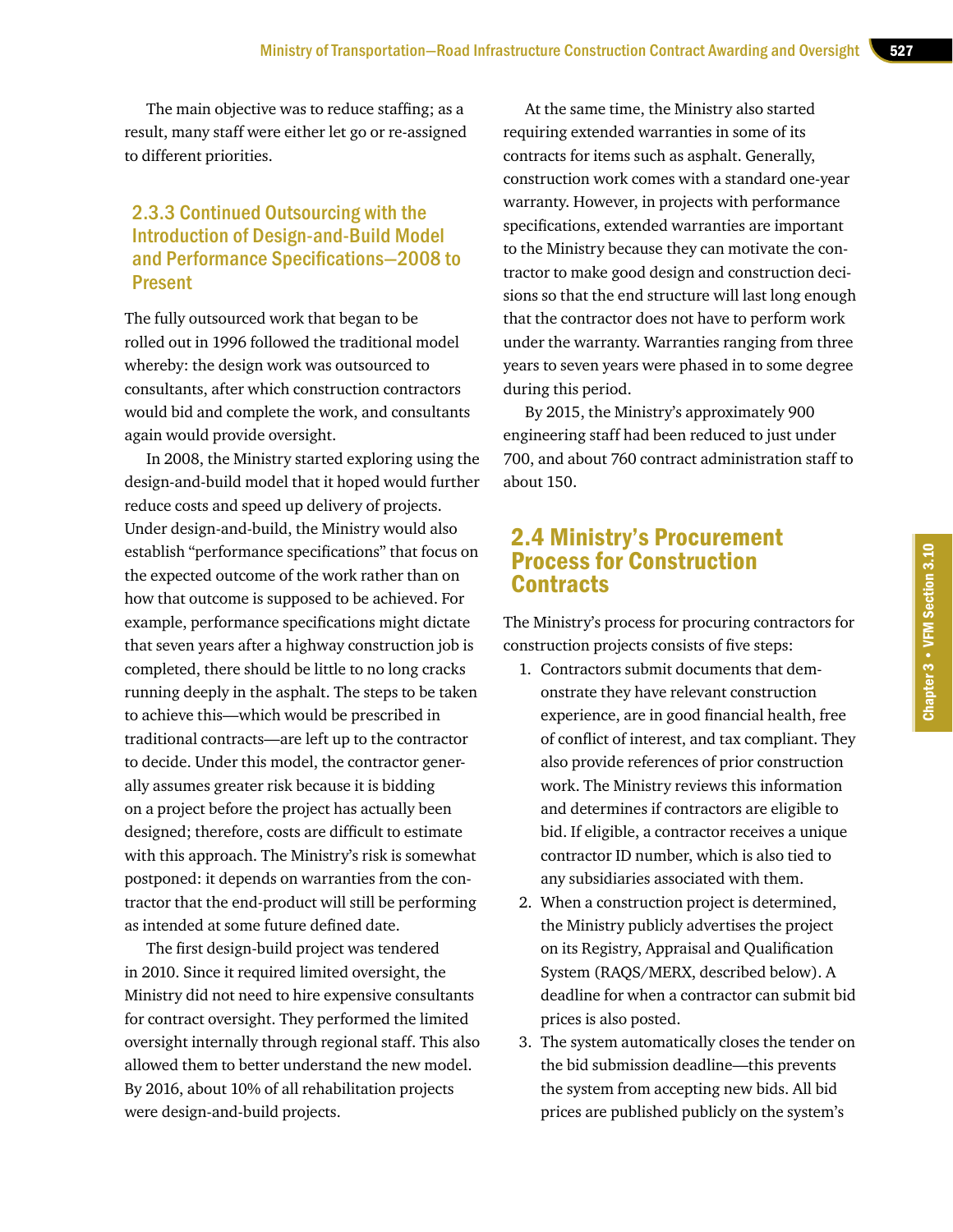The main objective was to reduce staffing; as a result, many staff were either let go or re-assigned to different priorities.

#### 2.3.3 Continued Outsourcing with the Introduction of Design-and-Build Model and Performance Specifications—2008 to Present

The fully outsourced work that began to be rolled out in 1996 followed the traditional model whereby: the design work was outsourced to consultants, after which construction contractors would bid and complete the work, and consultants again would provide oversight.

In 2008, the Ministry started exploring using the design-and-build model that it hoped would further reduce costs and speed up delivery of projects. Under design-and-build, the Ministry would also establish "performance specifications" that focus on the expected outcome of the work rather than on how that outcome is supposed to be achieved. For example, performance specifications might dictate that seven years after a highway construction job is completed, there should be little to no long cracks running deeply in the asphalt. The steps to be taken to achieve this—which would be prescribed in traditional contracts—are left up to the contractor to decide. Under this model, the contractor generally assumes greater risk because it is bidding on a project before the project has actually been designed; therefore, costs are difficult to estimate with this approach. The Ministry's risk is somewhat postponed: it depends on warranties from the contractor that the end-product will still be performing as intended at some future defined date.

The first design-build project was tendered in 2010. Since it required limited oversight, the Ministry did not need to hire expensive consultants for contract oversight. They performed the limited oversight internally through regional staff. This also allowed them to better understand the new model. By 2016, about 10% of all rehabilitation projects were design-and-build projects.

At the same time, the Ministry also started requiring extended warranties in some of its contracts for items such as asphalt. Generally, construction work comes with a standard one-year warranty. However, in projects with performance specifications, extended warranties are important to the Ministry because they can motivate the contractor to make good design and construction decisions so that the end structure will last long enough that the contractor does not have to perform work under the warranty. Warranties ranging from three years to seven years were phased in to some degree during this period.

By 2015, the Ministry's approximately 900 engineering staff had been reduced to just under 700, and about 760 contract administration staff to about 150.

# 2.4 Ministry's Procurement Process for Construction Contracts

The Ministry's process for procuring contractors for construction projects consists of five steps:

- 1. Contractors submit documents that demonstrate they have relevant construction experience, are in good financial health, free of conflict of interest, and tax compliant. They also provide references of prior construction work. The Ministry reviews this information and determines if contractors are eligible to bid. If eligible, a contractor receives a unique contractor ID number, which is also tied to any subsidiaries associated with them.
- 2. When a construction project is determined, the Ministry publicly advertises the project on its Registry, Appraisal and Qualification System (RAQS/MERX, described below). A deadline for when a contractor can submit bid prices is also posted.
- 3. The system automatically closes the tender on the bid submission deadline—this prevents the system from accepting new bids. All bid prices are published publicly on the system's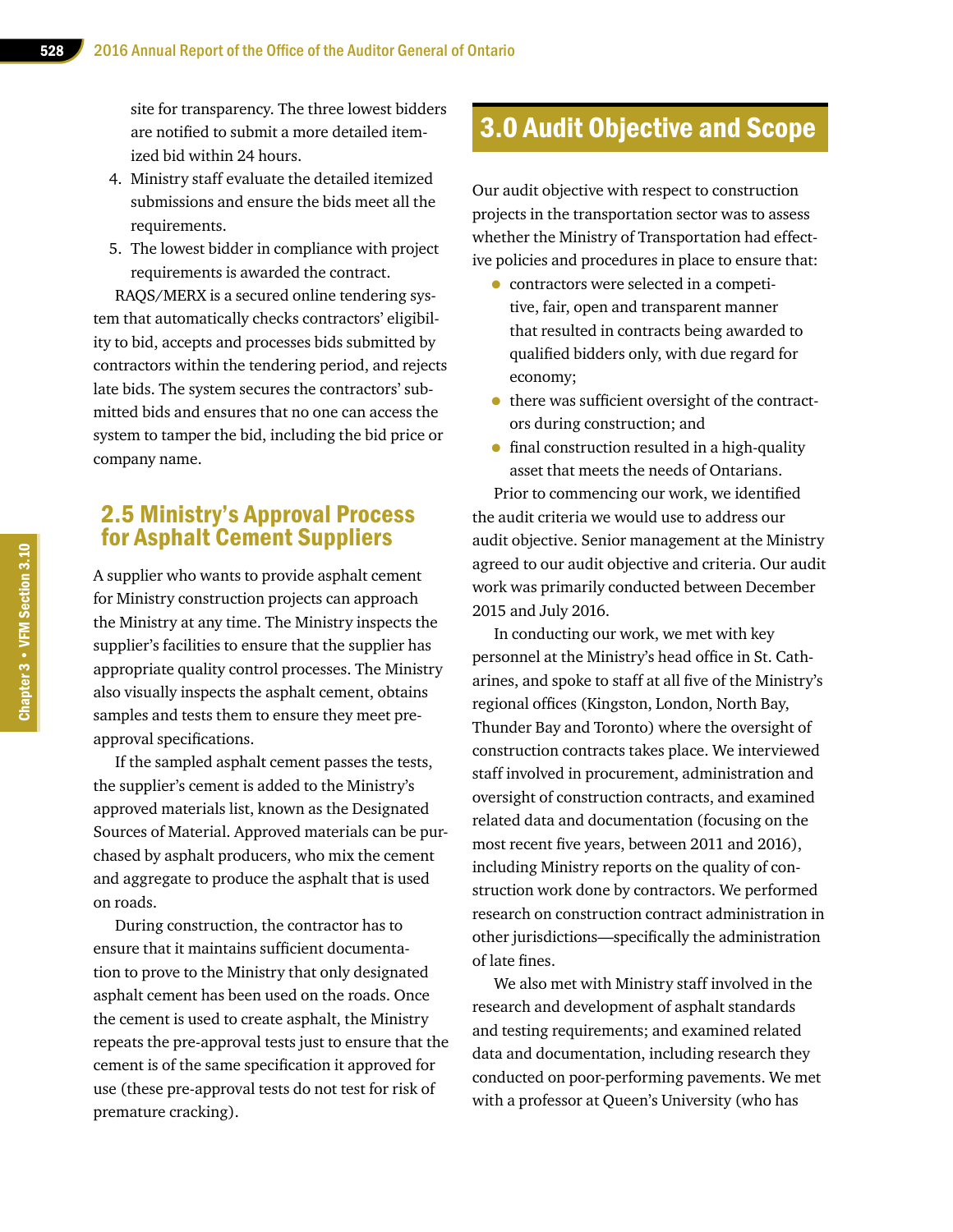site for transparency. The three lowest bidders are notified to submit a more detailed itemized bid within 24 hours.

- 4. Ministry staff evaluate the detailed itemized submissions and ensure the bids meet all the requirements.
- 5. The lowest bidder in compliance with project requirements is awarded the contract.

RAQS/MERX is a secured online tendering system that automatically checks contractors' eligibility to bid, accepts and processes bids submitted by contractors within the tendering period, and rejects late bids. The system secures the contractors' submitted bids and ensures that no one can access the system to tamper the bid, including the bid price or company name.

# 2.5 Ministry's Approval Process for Asphalt Cement Suppliers

A supplier who wants to provide asphalt cement for Ministry construction projects can approach the Ministry at any time. The Ministry inspects the supplier's facilities to ensure that the supplier has appropriate quality control processes. The Ministry also visually inspects the asphalt cement, obtains samples and tests them to ensure they meet preapproval specifications.

If the sampled asphalt cement passes the tests, the supplier's cement is added to the Ministry's approved materials list, known as the Designated Sources of Material. Approved materials can be purchased by asphalt producers, who mix the cement and aggregate to produce the asphalt that is used on roads.

During construction, the contractor has to ensure that it maintains sufficient documentation to prove to the Ministry that only designated asphalt cement has been used on the roads. Once the cement is used to create asphalt, the Ministry repeats the pre-approval tests just to ensure that the cement is of the same specification it approved for use (these pre-approval tests do not test for risk of premature cracking).

# 3.0 Audit Objective and Scope

Our audit objective with respect to construction projects in the transportation sector was to assess whether the Ministry of Transportation had effective policies and procedures in place to ensure that:

- contractors were selected in a competitive, fair, open and transparent manner that resulted in contracts being awarded to qualified bidders only, with due regard for economy;
- there was sufficient oversight of the contractors during construction; and
- final construction resulted in a high-quality asset that meets the needs of Ontarians.

Prior to commencing our work, we identified the audit criteria we would use to address our audit objective. Senior management at the Ministry agreed to our audit objective and criteria. Our audit work was primarily conducted between December 2015 and July 2016.

In conducting our work, we met with key personnel at the Ministry's head office in St. Catharines, and spoke to staff at all five of the Ministry's regional offices (Kingston, London, North Bay, Thunder Bay and Toronto) where the oversight of construction contracts takes place. We interviewed staff involved in procurement, administration and oversight of construction contracts, and examined related data and documentation (focusing on the most recent five years, between 2011 and 2016), including Ministry reports on the quality of construction work done by contractors. We performed research on construction contract administration in other jurisdictions—specifically the administration of late fines.

We also met with Ministry staff involved in the research and development of asphalt standards and testing requirements; and examined related data and documentation, including research they conducted on poor-performing pavements. We met with a professor at Queen's University (who has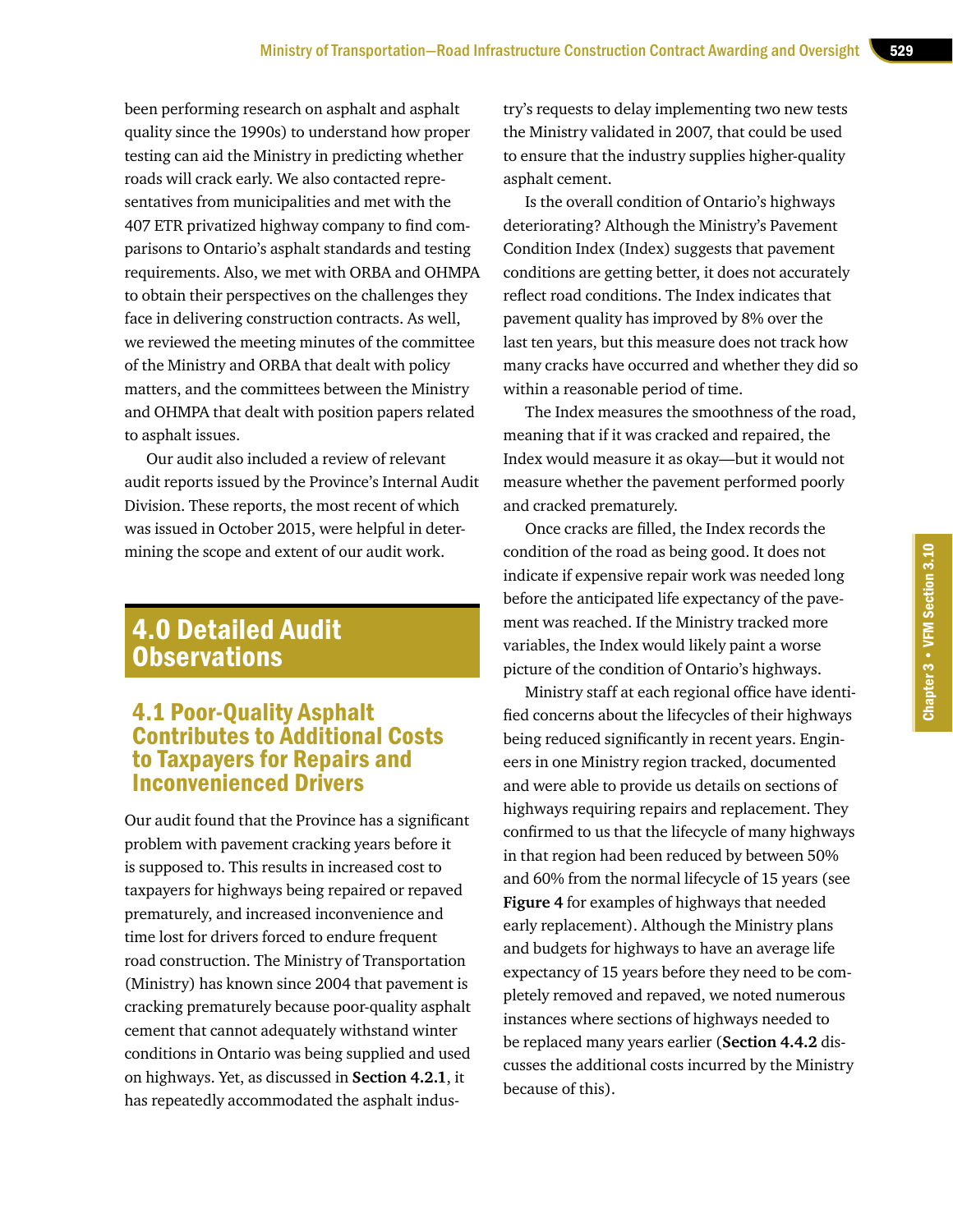been performing research on asphalt and asphalt quality since the 1990s) to understand how proper testing can aid the Ministry in predicting whether roads will crack early. We also contacted representatives from municipalities and met with the 407 ETR privatized highway company to find comparisons to Ontario's asphalt standards and testing requirements. Also, we met with ORBA and OHMPA to obtain their perspectives on the challenges they face in delivering construction contracts. As well, we reviewed the meeting minutes of the committee of the Ministry and ORBA that dealt with policy matters, and the committees between the Ministry and OHMPA that dealt with position papers related to asphalt issues.

Our audit also included a review of relevant audit reports issued by the Province's Internal Audit Division. These reports, the most recent of which was issued in October 2015, were helpful in determining the scope and extent of our audit work.

# 4.0 Detailed Audit **Observations**

# 4.1 Poor-Quality Asphalt Contributes to Additional Costs to Taxpayers for Repairs and Inconvenienced Drivers

Our audit found that the Province has a significant problem with pavement cracking years before it is supposed to. This results in increased cost to taxpayers for highways being repaired or repaved prematurely, and increased inconvenience and time lost for drivers forced to endure frequent road construction. The Ministry of Transportation (Ministry) has known since 2004 that pavement is cracking prematurely because poor-quality asphalt cement that cannot adequately withstand winter conditions in Ontario was being supplied and used on highways. Yet, as discussed in **Section 4.2.1**, it has repeatedly accommodated the asphalt industry's requests to delay implementing two new tests the Ministry validated in 2007, that could be used to ensure that the industry supplies higher-quality asphalt cement.

Is the overall condition of Ontario's highways deteriorating? Although the Ministry's Pavement Condition Index (Index) suggests that pavement conditions are getting better, it does not accurately reflect road conditions. The Index indicates that pavement quality has improved by 8% over the last ten years, but this measure does not track how many cracks have occurred and whether they did so within a reasonable period of time.

The Index measures the smoothness of the road, meaning that if it was cracked and repaired, the Index would measure it as okay—but it would not measure whether the pavement performed poorly and cracked prematurely.

Once cracks are filled, the Index records the condition of the road as being good. It does not indicate if expensive repair work was needed long before the anticipated life expectancy of the pavement was reached. If the Ministry tracked more variables, the Index would likely paint a worse picture of the condition of Ontario's highways.

Ministry staff at each regional office have identified concerns about the lifecycles of their highways being reduced significantly in recent years. Engineers in one Ministry region tracked, documented and were able to provide us details on sections of highways requiring repairs and replacement. They confirmed to us that the lifecycle of many highways in that region had been reduced by between 50% and 60% from the normal lifecycle of 15 years (see **Figure 4** for examples of highways that needed early replacement). Although the Ministry plans and budgets for highways to have an average life expectancy of 15 years before they need to be completely removed and repaved, we noted numerous instances where sections of highways needed to be replaced many years earlier (**Section 4.4.2** discusses the additional costs incurred by the Ministry because of this).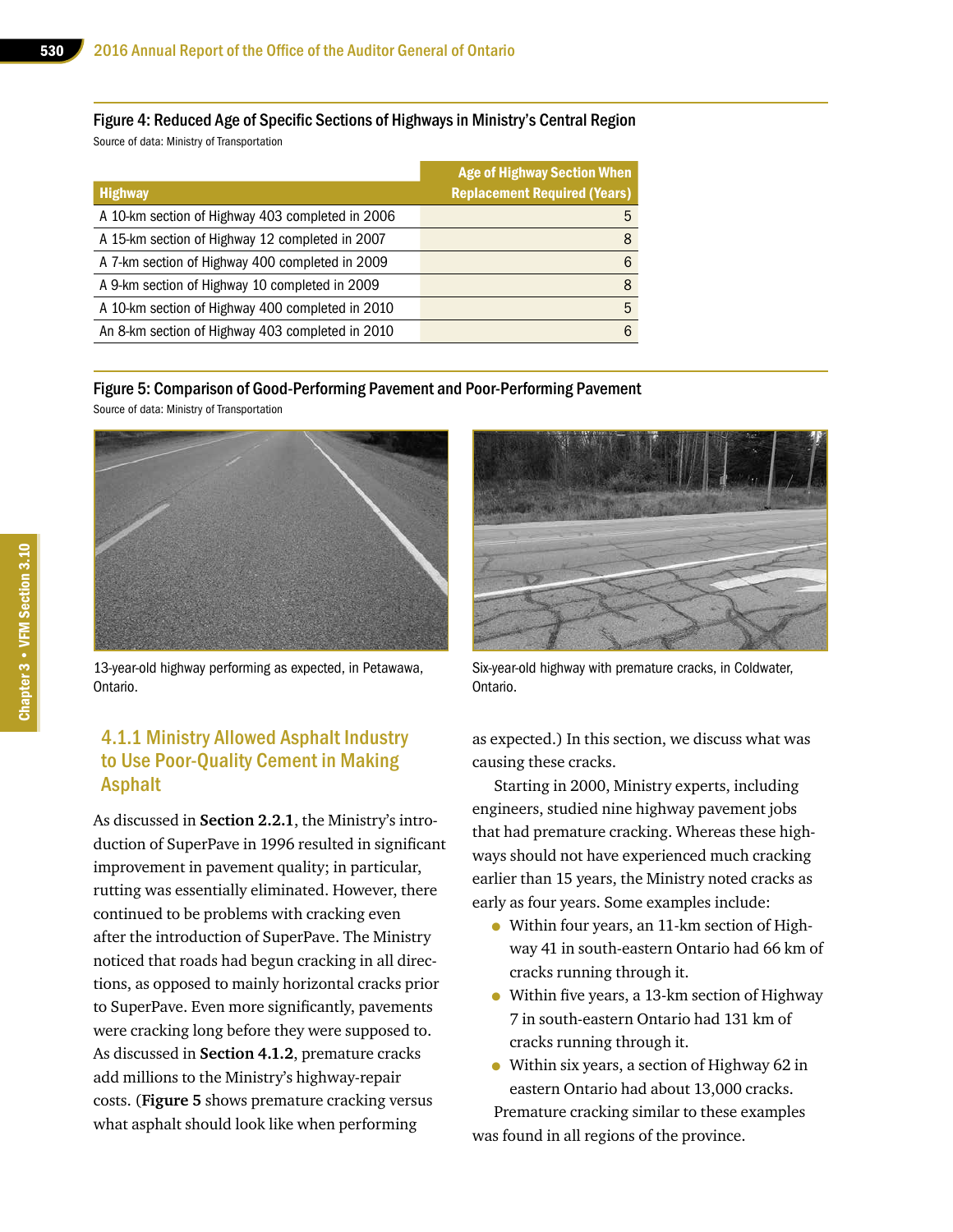Figure 4: Reduced Age of Specific Sections of Highways in Ministry's Central Region Source of data: Ministry of Transportation

| <b>Highway</b>                                   | <b>Age of Highway Section When</b><br><b>Replacement Required (Years)</b> |
|--------------------------------------------------|---------------------------------------------------------------------------|
| A 10-km section of Highway 403 completed in 2006 | 5                                                                         |
| A 15-km section of Highway 12 completed in 2007  | 8                                                                         |
| A 7-km section of Highway 400 completed in 2009  | 6                                                                         |
| A 9-km section of Highway 10 completed in 2009   | 8                                                                         |
| A 10-km section of Highway 400 completed in 2010 | 5                                                                         |
| An 8-km section of Highway 403 completed in 2010 | 6                                                                         |

#### Figure 5: Comparison of Good-Performing Pavement and Poor-Performing Pavement

Source of data: Ministry of Transportation



13-year-old highway performing as expected, in Petawawa, Ontario.

#### 4.1.1 Ministry Allowed Asphalt Industry to Use Poor-Quality Cement in Making Asphalt

As discussed in **Section 2.2.1**, the Ministry's introduction of SuperPave in 1996 resulted in significant improvement in pavement quality; in particular, rutting was essentially eliminated. However, there continued to be problems with cracking even after the introduction of SuperPave. The Ministry noticed that roads had begun cracking in all directions, as opposed to mainly horizontal cracks prior to SuperPave. Even more significantly, pavements were cracking long before they were supposed to. As discussed in **Section 4.1.2**, premature cracks add millions to the Ministry's highway-repair costs. (**Figure 5** shows premature cracking versus what asphalt should look like when performing



Six-year-old highway with premature cracks, in Coldwater, Ontario.

as expected.) In this section, we discuss what was causing these cracks.

Starting in 2000, Ministry experts, including engineers, studied nine highway pavement jobs that had premature cracking. Whereas these highways should not have experienced much cracking earlier than 15 years, the Ministry noted cracks as early as four years. Some examples include:

- Within four years, an 11-km section of Highway 41 in south-eastern Ontario had 66 km of cracks running through it.
- Within five years, a 13-km section of Highway 7 in south-eastern Ontario had 131 km of cracks running through it.
- Within six years, a section of Highway 62 in eastern Ontario had about 13,000 cracks.

Premature cracking similar to these examples was found in all regions of the province.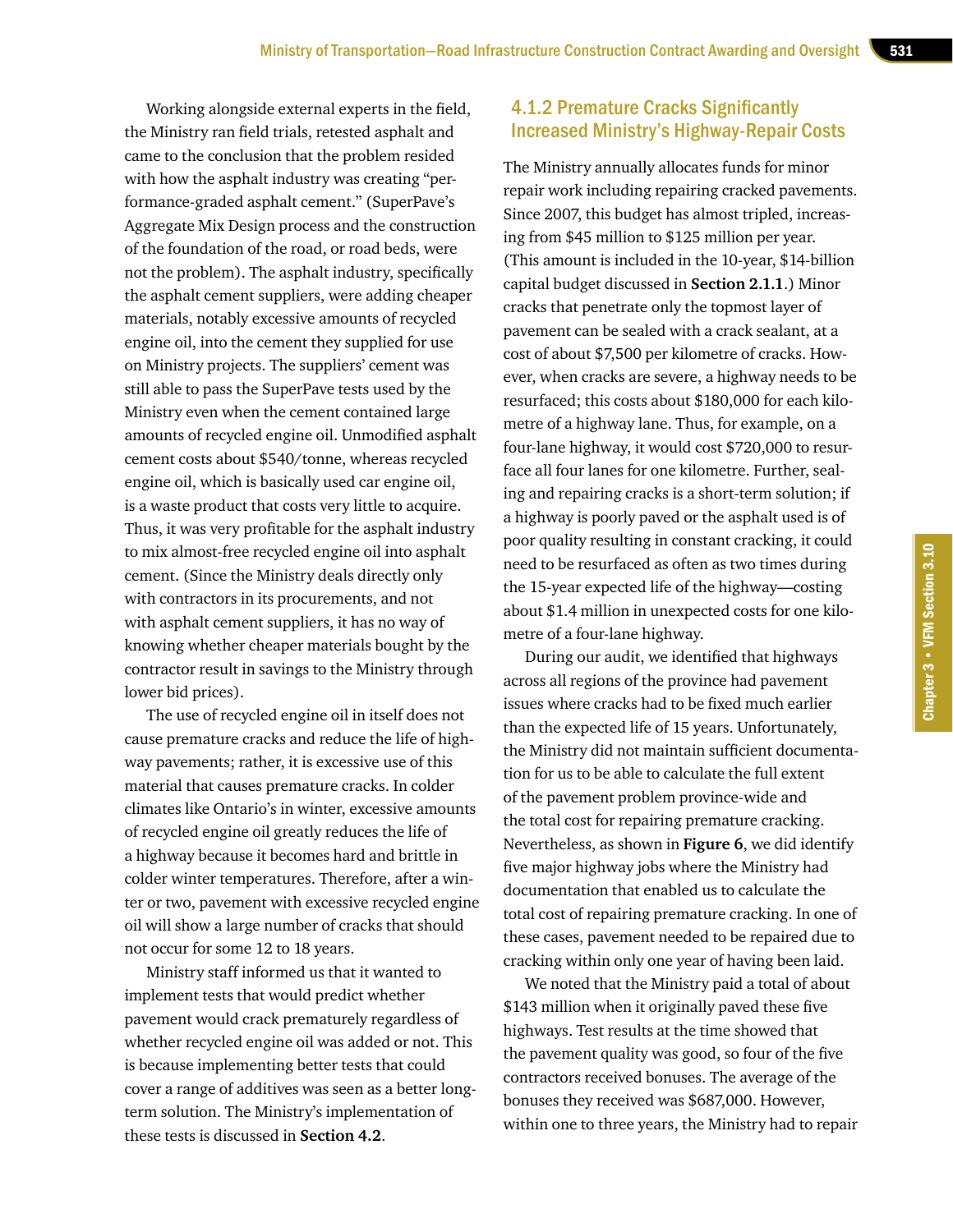Working alongside external experts in the field, the Ministry ran field trials, retested asphalt and came to the conclusion that the problem resided with how the asphalt industry was creating "performance-graded asphalt cement." (SuperPave's Aggregate Mix Design process and the construction of the foundation of the road, or road beds, were not the problem). The asphalt industry, specifically the asphalt cement suppliers, were adding cheaper materials, notably excessive amounts of recycled engine oil, into the cement they supplied for use on Ministry projects. The suppliers' cement was still able to pass the SuperPave tests used by the Ministry even when the cement contained large amounts of recycled engine oil. Unmodified asphalt cement costs about \$540/tonne, whereas recycled engine oil, which is basically used car engine oil, is a waste product that costs very little to acquire. Thus, it was very profitable for the asphalt industry to mix almost-free recycled engine oil into asphalt cement. (Since the Ministry deals directly only with contractors in its procurements, and not with asphalt cement suppliers, it has no way of knowing whether cheaper materials bought by the contractor result in savings to the Ministry through lower bid prices).

The use of recycled engine oil in itself does not cause premature cracks and reduce the life of highway pavements; rather, it is excessive use of this material that causes premature cracks. In colder climates like Ontario's in winter, excessive amounts of recycled engine oil greatly reduces the life of a highway because it becomes hard and brittle in colder winter temperatures. Therefore, after a winter or two, pavement with excessive recycled engine oil will show a large number of cracks that should not occur for some 12 to 18 years.

Ministry staff informed us that it wanted to implement tests that would predict whether pavement would crack prematurely regardless of whether recycled engine oil was added or not. This is because implementing better tests that could cover a range of additives was seen as a better longterm solution. The Ministry's implementation of these tests is discussed in **Section 4.2**.

#### 4.1.2 Premature Cracks Significantly Increased Ministry's Highway-Repair Costs

The Ministry annually allocates funds for minor repair work including repairing cracked pavements. Since 2007, this budget has almost tripled, increasing from \$45 million to \$125 million per year. (This amount is included in the 10-year, \$14-billion capital budget discussed in **Section 2.1.1**.) Minor cracks that penetrate only the topmost layer of pavement can be sealed with a crack sealant, at a cost of about \$7,500 per kilometre of cracks. However, when cracks are severe, a highway needs to be resurfaced; this costs about \$180,000 for each kilometre of a highway lane. Thus, for example, on a four-lane highway, it would cost \$720,000 to resurface all four lanes for one kilometre. Further, sealing and repairing cracks is a short-term solution; if a highway is poorly paved or the asphalt used is of poor quality resulting in constant cracking, it could need to be resurfaced as often as two times during the 15-year expected life of the highway—costing about \$1.4 million in unexpected costs for one kilometre of a four-lane highway.

During our audit, we identified that highways across all regions of the province had pavement issues where cracks had to be fixed much earlier than the expected life of 15 years. Unfortunately, the Ministry did not maintain sufficient documentation for us to be able to calculate the full extent of the pavement problem province-wide and the total cost for repairing premature cracking. Nevertheless, as shown in **Figure 6**, we did identify five major highway jobs where the Ministry had documentation that enabled us to calculate the total cost of repairing premature cracking. In one of these cases, pavement needed to be repaired due to cracking within only one year of having been laid.

We noted that the Ministry paid a total of about \$143 million when it originally paved these five highways. Test results at the time showed that the pavement quality was good, so four of the five contractors received bonuses. The average of the bonuses they received was \$687,000. However, within one to three years, the Ministry had to repair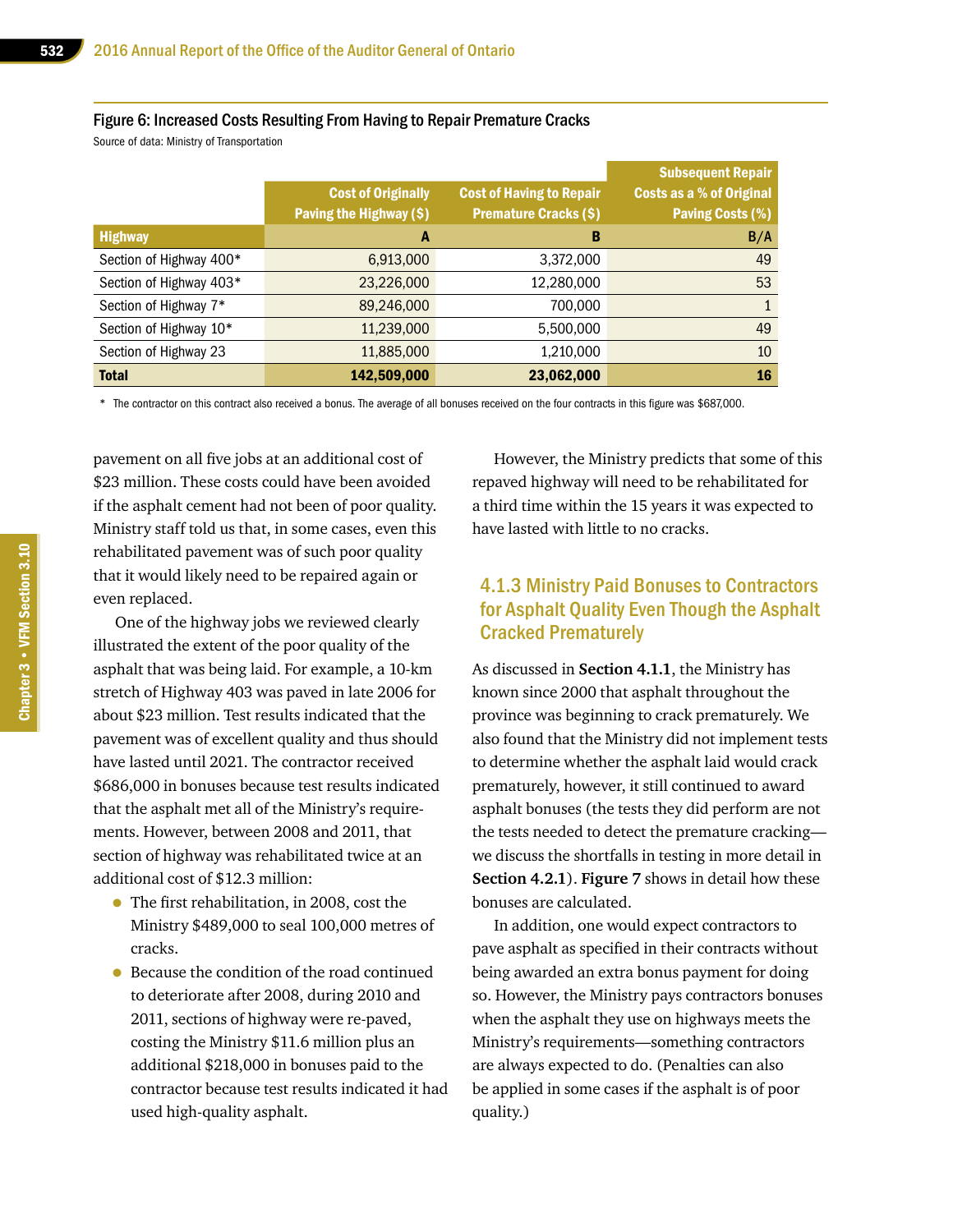#### Figure 6: Increased Costs Resulting From Having to Repair Premature Cracks

Source of data: Ministry of Transportation

|                         | <b>Cost of Originally</b><br>Paving the Highway (\$) | <b>Cost of Having to Repair</b><br><b>Premature Cracks (\$)</b> | <b>Subsequent Repair</b><br><b>Costs as a % of Original</b><br><b>Paving Costs (%)</b> |
|-------------------------|------------------------------------------------------|-----------------------------------------------------------------|----------------------------------------------------------------------------------------|
| <b>Highway</b>          | A                                                    | B                                                               | B/A                                                                                    |
| Section of Highway 400* | 6,913,000                                            | 3,372,000                                                       | 49                                                                                     |
| Section of Highway 403* | 23,226,000                                           | 12,280,000                                                      | 53                                                                                     |
| Section of Highway 7*   | 89,246,000                                           | 700,000                                                         | $\mathbf{1}$                                                                           |
| Section of Highway 10*  | 11,239,000                                           | 5,500,000                                                       | 49                                                                                     |
| Section of Highway 23   | 11,885,000                                           | 1,210,000                                                       | 10                                                                                     |
| <b>Total</b>            | 142,509,000                                          | 23,062,000                                                      | 16                                                                                     |

\* The contractor on this contract also received a bonus. The average of all bonuses received on the four contracts in this figure was \$687,000.

pavement on all five jobs at an additional cost of \$23 million. These costs could have been avoided if the asphalt cement had not been of poor quality. Ministry staff told us that, in some cases, even this rehabilitated pavement was of such poor quality that it would likely need to be repaired again or even replaced.

One of the highway jobs we reviewed clearly illustrated the extent of the poor quality of the asphalt that was being laid. For example, a 10-km stretch of Highway 403 was paved in late 2006 for about \$23 million. Test results indicated that the pavement was of excellent quality and thus should have lasted until 2021. The contractor received \$686,000 in bonuses because test results indicated that the asphalt met all of the Ministry's requirements. However, between 2008 and 2011, that section of highway was rehabilitated twice at an additional cost of \$12.3 million:

- The first rehabilitation, in 2008, cost the Ministry \$489,000 to seal 100,000 metres of cracks.
- Because the condition of the road continued to deteriorate after 2008, during 2010 and 2011, sections of highway were re-paved, costing the Ministry \$11.6 million plus an additional \$218,000 in bonuses paid to the contractor because test results indicated it had used high-quality asphalt.

However, the Ministry predicts that some of this repaved highway will need to be rehabilitated for a third time within the 15 years it was expected to have lasted with little to no cracks.

#### 4.1.3 Ministry Paid Bonuses to Contractors for Asphalt Quality Even Though the Asphalt Cracked Prematurely

As discussed in **Section 4.1.1**, the Ministry has known since 2000 that asphalt throughout the province was beginning to crack prematurely. We also found that the Ministry did not implement tests to determine whether the asphalt laid would crack prematurely, however, it still continued to award asphalt bonuses (the tests they did perform are not the tests needed to detect the premature cracking we discuss the shortfalls in testing in more detail in **Section 4.2.1**). **Figure 7** shows in detail how these bonuses are calculated.

In addition, one would expect contractors to pave asphalt as specified in their contracts without being awarded an extra bonus payment for doing so. However, the Ministry pays contractors bonuses when the asphalt they use on highways meets the Ministry's requirements—something contractors are always expected to do. (Penalties can also be applied in some cases if the asphalt is of poor quality.)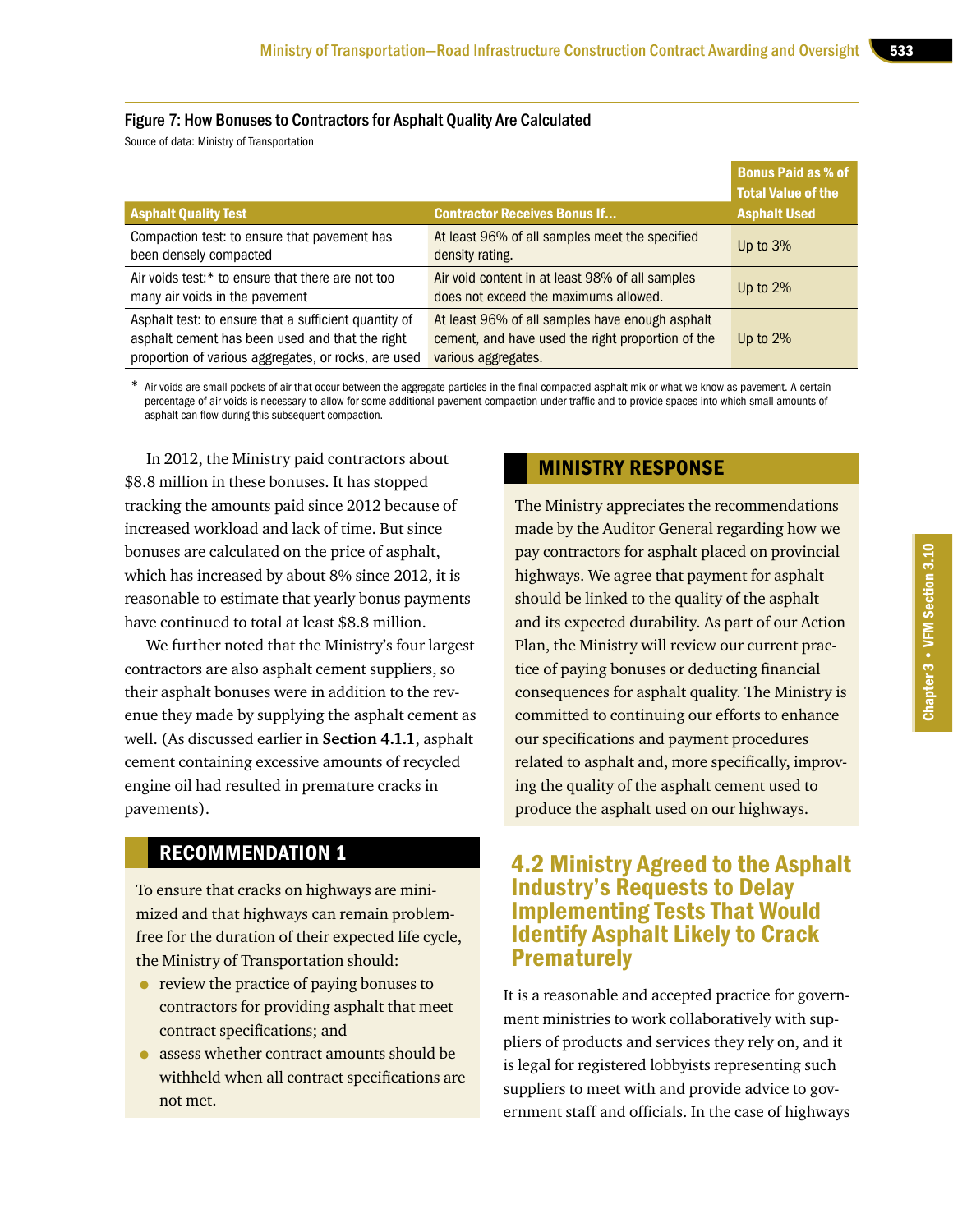#### Figure 7: How Bonuses to Contractors for Asphalt Quality Are Calculated

Source of data: Ministry of Transportation

|                                                                                                                                                                  |                                                                                                                             | <b>Bonus Paid as % of</b><br>Total Value of the |
|------------------------------------------------------------------------------------------------------------------------------------------------------------------|-----------------------------------------------------------------------------------------------------------------------------|-------------------------------------------------|
| <b>Asphalt Quality Test</b>                                                                                                                                      | <b>Contractor Receives Bonus If</b>                                                                                         | <b>Asphalt Used</b>                             |
| Compaction test: to ensure that pavement has<br>been densely compacted                                                                                           | At least 96% of all samples meet the specified<br>density rating.                                                           | Up to $3\%$                                     |
| Air voids test:* to ensure that there are not too<br>many air voids in the pavement                                                                              | Air void content in at least 98% of all samples<br>does not exceed the maximums allowed.                                    | Up to $2\%$                                     |
| Asphalt test: to ensure that a sufficient quantity of<br>asphalt cement has been used and that the right<br>proportion of various aggregates, or rocks, are used | At least 96% of all samples have enough asphalt<br>cement, and have used the right proportion of the<br>various aggregates. | Up to $2\%$                                     |

\* Air voids are small pockets of air that occur between the aggregate particles in the final compacted asphalt mix or what we know as pavement. A certain percentage of air voids is necessary to allow for some additional pavement compaction under traffic and to provide spaces into which small amounts of asphalt can flow during this subsequent compaction.

In 2012, the Ministry paid contractors about \$8.8 million in these bonuses. It has stopped tracking the amounts paid since 2012 because of increased workload and lack of time. But since bonuses are calculated on the price of asphalt, which has increased by about 8% since 2012, it is reasonable to estimate that yearly bonus payments have continued to total at least \$8.8 million.

We further noted that the Ministry's four largest contractors are also asphalt cement suppliers, so their asphalt bonuses were in addition to the revenue they made by supplying the asphalt cement as well. (As discussed earlier in **Section 4.1.1**, asphalt cement containing excessive amounts of recycled engine oil had resulted in premature cracks in pavements).

# RECOMMENDATION 1

To ensure that cracks on highways are minimized and that highways can remain problemfree for the duration of their expected life cycle, the Ministry of Transportation should:

- review the practice of paying bonuses to contractors for providing asphalt that meet contract specifications; and
- assess whether contract amounts should be withheld when all contract specifications are not met.

## MINISTRY RESPONSE

The Ministry appreciates the recommendations made by the Auditor General regarding how we pay contractors for asphalt placed on provincial highways. We agree that payment for asphalt should be linked to the quality of the asphalt and its expected durability. As part of our Action Plan, the Ministry will review our current practice of paying bonuses or deducting financial consequences for asphalt quality. The Ministry is committed to continuing our efforts to enhance our specifications and payment procedures related to asphalt and, more specifically, improving the quality of the asphalt cement used to produce the asphalt used on our highways.

# 4.2 Ministry Agreed to the Asphalt Industry's Requests to Delay Implementing Tests That Would Identify Asphalt Likely to Crack **Prematurely**

It is a reasonable and accepted practice for government ministries to work collaboratively with suppliers of products and services they rely on, and it is legal for registered lobbyists representing such suppliers to meet with and provide advice to government staff and officials. In the case of highways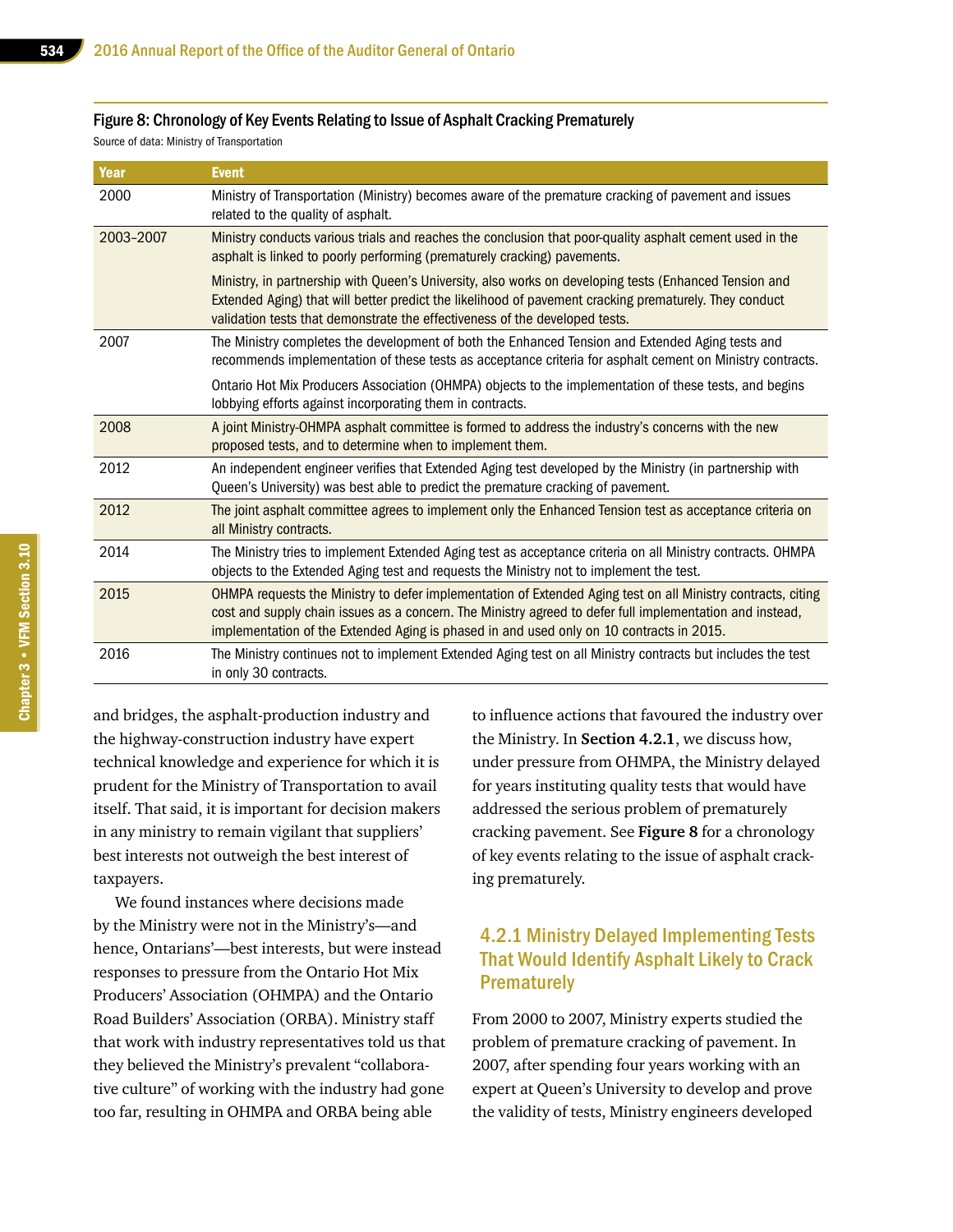#### Figure 8: Chronology of Key Events Relating to Issue of Asphalt Cracking Prematurely

Source of data: Ministry of Transportation

| Year      | <b>Event</b>                                                                                                                                                                                                                                                                                                         |
|-----------|----------------------------------------------------------------------------------------------------------------------------------------------------------------------------------------------------------------------------------------------------------------------------------------------------------------------|
| 2000      | Ministry of Transportation (Ministry) becomes aware of the premature cracking of pavement and issues<br>related to the quality of asphalt.                                                                                                                                                                           |
| 2003-2007 | Ministry conducts various trials and reaches the conclusion that poor-quality asphalt cement used in the<br>asphalt is linked to poorly performing (prematurely cracking) pavements.                                                                                                                                 |
|           | Ministry, in partnership with Queen's University, also works on developing tests (Enhanced Tension and<br>Extended Aging) that will better predict the likelihood of pavement cracking prematurely. They conduct<br>validation tests that demonstrate the effectiveness of the developed tests.                      |
| 2007      | The Ministry completes the development of both the Enhanced Tension and Extended Aging tests and<br>recommends implementation of these tests as acceptance criteria for asphalt cement on Ministry contracts.                                                                                                        |
|           | Ontario Hot Mix Producers Association (OHMPA) objects to the implementation of these tests, and begins<br>lobbying efforts against incorporating them in contracts.                                                                                                                                                  |
| 2008      | A joint Ministry-OHMPA asphalt committee is formed to address the industry's concerns with the new<br>proposed tests, and to determine when to implement them.                                                                                                                                                       |
| 2012      | An independent engineer verifies that Extended Aging test developed by the Ministry (in partnership with<br>Queen's University) was best able to predict the premature cracking of pavement.                                                                                                                         |
| 2012      | The joint asphalt committee agrees to implement only the Enhanced Tension test as acceptance criteria on<br>all Ministry contracts.                                                                                                                                                                                  |
| 2014      | The Ministry tries to implement Extended Aging test as acceptance criteria on all Ministry contracts. OHMPA<br>objects to the Extended Aging test and requests the Ministry not to implement the test.                                                                                                               |
| 2015      | OHMPA requests the Ministry to defer implementation of Extended Aging test on all Ministry contracts, citing<br>cost and supply chain issues as a concern. The Ministry agreed to defer full implementation and instead,<br>implementation of the Extended Aging is phased in and used only on 10 contracts in 2015. |
| 2016      | The Ministry continues not to implement Extended Aging test on all Ministry contracts but includes the test<br>in only 30 contracts.                                                                                                                                                                                 |

and bridges, the asphalt-production industry and the highway-construction industry have expert technical knowledge and experience for which it is prudent for the Ministry of Transportation to avail itself. That said, it is important for decision makers in any ministry to remain vigilant that suppliers' best interests not outweigh the best interest of taxpayers.

We found instances where decisions made by the Ministry were not in the Ministry's—and hence, Ontarians'—best interests, but were instead responses to pressure from the Ontario Hot Mix Producers' Association (OHMPA) and the Ontario Road Builders' Association (ORBA). Ministry staff that work with industry representatives told us that they believed the Ministry's prevalent "collaborative culture" of working with the industry had gone too far, resulting in OHMPA and ORBA being able

to influence actions that favoured the industry over the Ministry. In **Section 4.2.1**, we discuss how, under pressure from OHMPA, the Ministry delayed for years instituting quality tests that would have addressed the serious problem of prematurely cracking pavement. See **Figure 8** for a chronology of key events relating to the issue of asphalt cracking prematurely.

#### 4.2.1 Ministry Delayed Implementing Tests That Would Identify Asphalt Likely to Crack **Prematurely**

From 2000 to 2007, Ministry experts studied the problem of premature cracking of pavement. In 2007, after spending four years working with an expert at Queen's University to develop and prove the validity of tests, Ministry engineers developed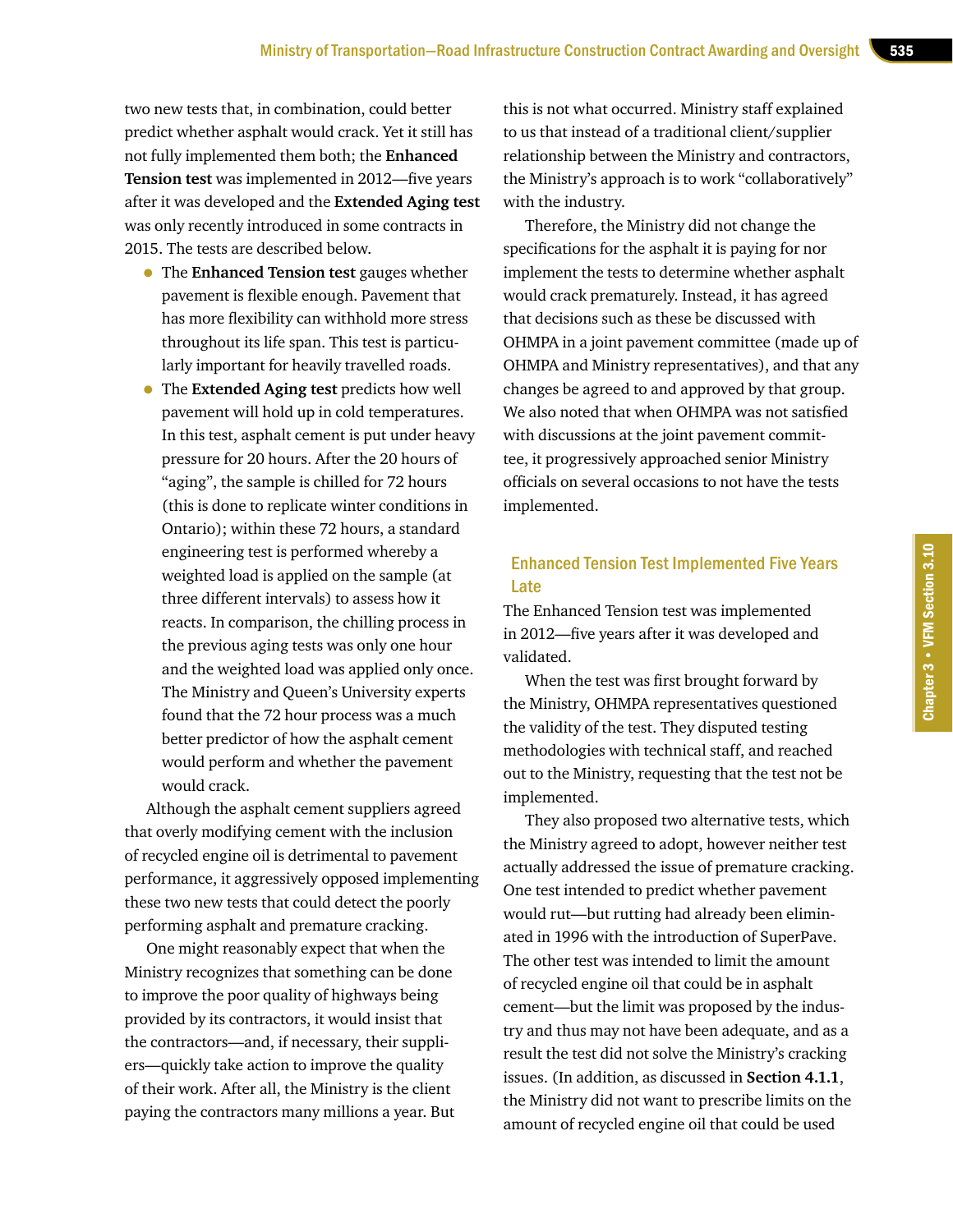two new tests that, in combination, could better predict whether asphalt would crack. Yet it still has not fully implemented them both; the **Enhanced Tension test** was implemented in 2012—five years after it was developed and the **Extended Aging test** was only recently introduced in some contracts in 2015. The tests are described below.

- The **Enhanced Tension test** gauges whether pavement is flexible enough. Pavement that has more flexibility can withhold more stress throughout its life span. This test is particularly important for heavily travelled roads.
- The **Extended Aging test** predicts how well pavement will hold up in cold temperatures. In this test, asphalt cement is put under heavy pressure for 20 hours. After the 20 hours of "aging", the sample is chilled for 72 hours (this is done to replicate winter conditions in Ontario); within these 72 hours, a standard engineering test is performed whereby a weighted load is applied on the sample (at three different intervals) to assess how it reacts. In comparison, the chilling process in the previous aging tests was only one hour and the weighted load was applied only once. The Ministry and Queen's University experts found that the 72 hour process was a much better predictor of how the asphalt cement would perform and whether the pavement would crack.

Although the asphalt cement suppliers agreed that overly modifying cement with the inclusion of recycled engine oil is detrimental to pavement performance, it aggressively opposed implementing these two new tests that could detect the poorly performing asphalt and premature cracking.

One might reasonably expect that when the Ministry recognizes that something can be done to improve the poor quality of highways being provided by its contractors, it would insist that the contractors—and, if necessary, their suppliers—quickly take action to improve the quality of their work. After all, the Ministry is the client paying the contractors many millions a year. But

this is not what occurred. Ministry staff explained to us that instead of a traditional client/supplier relationship between the Ministry and contractors, the Ministry's approach is to work "collaboratively" with the industry.

Therefore, the Ministry did not change the specifications for the asphalt it is paying for nor implement the tests to determine whether asphalt would crack prematurely. Instead, it has agreed that decisions such as these be discussed with OHMPA in a joint pavement committee (made up of OHMPA and Ministry representatives), and that any changes be agreed to and approved by that group. We also noted that when OHMPA was not satisfied with discussions at the joint pavement committee, it progressively approached senior Ministry officials on several occasions to not have the tests implemented.

#### Enhanced Tension Test Implemented Five Years Late

The Enhanced Tension test was implemented in 2012—five years after it was developed and validated.

When the test was first brought forward by the Ministry, OHMPA representatives questioned the validity of the test. They disputed testing methodologies with technical staff, and reached out to the Ministry, requesting that the test not be implemented.

They also proposed two alternative tests, which the Ministry agreed to adopt, however neither test actually addressed the issue of premature cracking. One test intended to predict whether pavement would rut—but rutting had already been eliminated in 1996 with the introduction of SuperPave. The other test was intended to limit the amount of recycled engine oil that could be in asphalt cement—but the limit was proposed by the industry and thus may not have been adequate, and as a result the test did not solve the Ministry's cracking issues. (In addition, as discussed in **Section 4.1.1**, the Ministry did not want to prescribe limits on the amount of recycled engine oil that could be used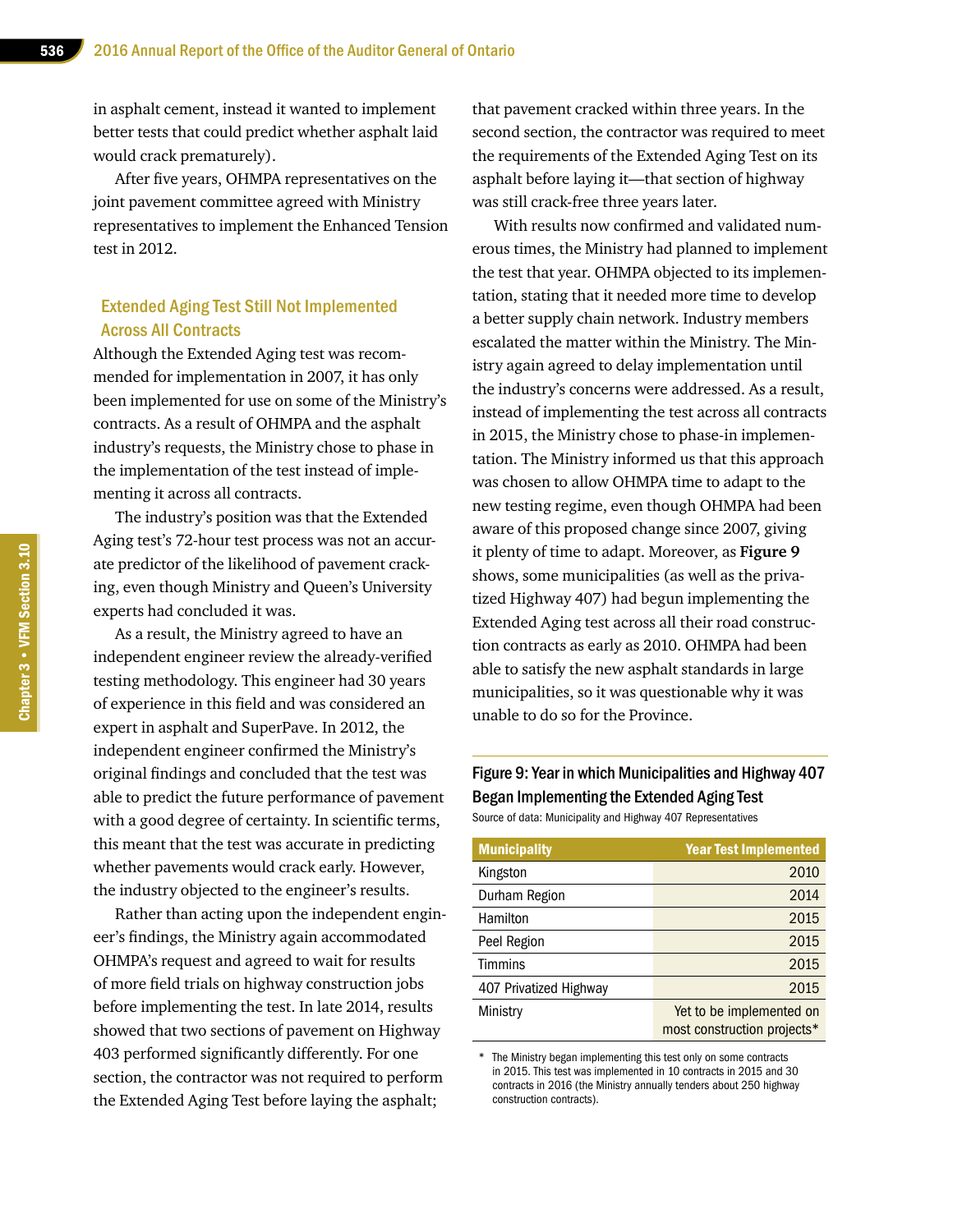in asphalt cement, instead it wanted to implement better tests that could predict whether asphalt laid would crack prematurely).

After five years, OHMPA representatives on the joint pavement committee agreed with Ministry representatives to implement the Enhanced Tension test in 2012.

#### Extended Aging Test Still Not Implemented Across All Contracts

Although the Extended Aging test was recommended for implementation in 2007, it has only been implemented for use on some of the Ministry's contracts. As a result of OHMPA and the asphalt industry's requests, the Ministry chose to phase in the implementation of the test instead of implementing it across all contracts.

The industry's position was that the Extended Aging test's 72-hour test process was not an accurate predictor of the likelihood of pavement cracking, even though Ministry and Queen's University experts had concluded it was.

As a result, the Ministry agreed to have an independent engineer review the already-verified testing methodology. This engineer had 30 years of experience in this field and was considered an expert in asphalt and SuperPave. In 2012, the independent engineer confirmed the Ministry's original findings and concluded that the test was able to predict the future performance of pavement with a good degree of certainty. In scientific terms, this meant that the test was accurate in predicting whether pavements would crack early. However, the industry objected to the engineer's results.

Rather than acting upon the independent engineer's findings, the Ministry again accommodated OHMPA's request and agreed to wait for results of more field trials on highway construction jobs before implementing the test. In late 2014, results showed that two sections of pavement on Highway 403 performed significantly differently. For one section, the contractor was not required to perform the Extended Aging Test before laying the asphalt;

that pavement cracked within three years. In the second section, the contractor was required to meet the requirements of the Extended Aging Test on its asphalt before laying it—that section of highway was still crack-free three years later.

With results now confirmed and validated numerous times, the Ministry had planned to implement the test that year. OHMPA objected to its implementation, stating that it needed more time to develop a better supply chain network. Industry members escalated the matter within the Ministry. The Ministry again agreed to delay implementation until the industry's concerns were addressed. As a result, instead of implementing the test across all contracts in 2015, the Ministry chose to phase-in implementation. The Ministry informed us that this approach was chosen to allow OHMPA time to adapt to the new testing regime, even though OHMPA had been aware of this proposed change since 2007, giving it plenty of time to adapt. Moreover, as **Figure 9** shows, some municipalities (as well as the privatized Highway 407) had begun implementing the Extended Aging test across all their road construction contracts as early as 2010. OHMPA had been able to satisfy the new asphalt standards in large municipalities, so it was questionable why it was unable to do so for the Province.

#### Figure 9: Year in which Municipalities and Highway 407 Began Implementing the Extended Aging Test Source of data: Municipality and Highway 407 Representatives

| <b>Municipality</b>    | <b>Year Test Implemented</b>                            |
|------------------------|---------------------------------------------------------|
| Kingston               | 2010                                                    |
| Durham Region          | 2014                                                    |
| Hamilton               | 2015                                                    |
| Peel Region            | 2015                                                    |
| Timmins                | 2015                                                    |
| 407 Privatized Highway | 2015                                                    |
| Ministry               | Yet to be implemented on<br>most construction projects* |

\* The Ministry began implementing this test only on some contracts in 2015. This test was implemented in 10 contracts in 2015 and 30 contracts in 2016 (the Ministry annually tenders about 250 highway construction contracts).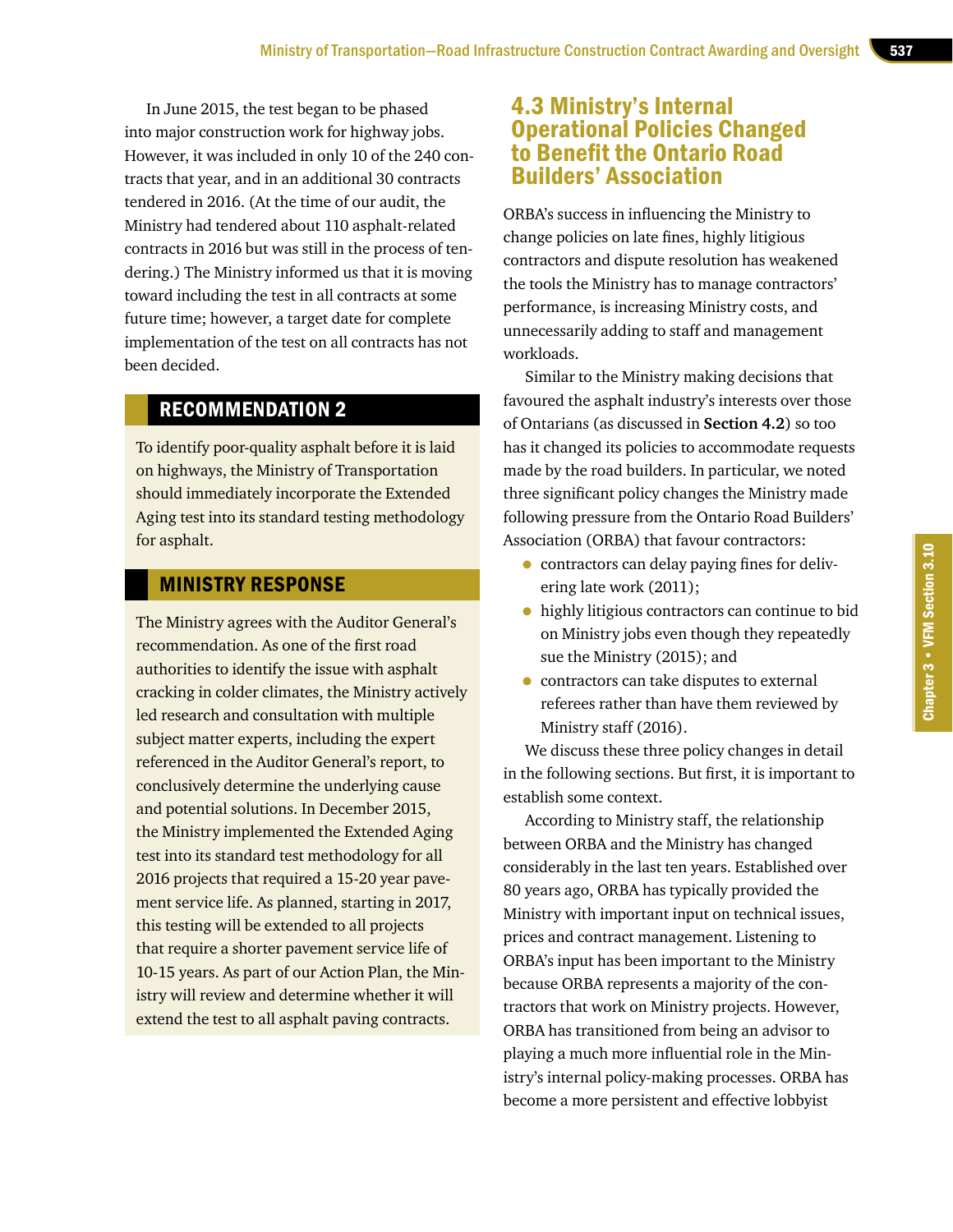In June 2015, the test began to be phased into major construction work for highway jobs. However, it was included in only 10 of the 240 contracts that year, and in an additional 30 contracts tendered in 2016. (At the time of our audit, the Ministry had tendered about 110 asphalt-related contracts in 2016 but was still in the process of tendering.) The Ministry informed us that it is moving toward including the test in all contracts at some future time; however, a target date for complete implementation of the test on all contracts has not been decided.

#### RECOMMENDATION 2

To identify poor-quality asphalt before it is laid on highways, the Ministry of Transportation should immediately incorporate the Extended Aging test into its standard testing methodology for asphalt.

#### MINISTRY RESPONSE

The Ministry agrees with the Auditor General's recommendation. As one of the first road authorities to identify the issue with asphalt cracking in colder climates, the Ministry actively led research and consultation with multiple subject matter experts, including the expert referenced in the Auditor General's report, to conclusively determine the underlying cause and potential solutions. In December 2015, the Ministry implemented the Extended Aging test into its standard test methodology for all 2016 projects that required a 15-20 year pavement service life. As planned, starting in 2017, this testing will be extended to all projects that require a shorter pavement service life of 10-15 years. As part of our Action Plan, the Ministry will review and determine whether it will extend the test to all asphalt paving contracts.

## 4.3 Ministry's Internal Operational Policies Changed to Benefit the Ontario Road Builders' Association

ORBA's success in influencing the Ministry to change policies on late fines, highly litigious contractors and dispute resolution has weakened the tools the Ministry has to manage contractors' performance, is increasing Ministry costs, and unnecessarily adding to staff and management workloads.

Similar to the Ministry making decisions that favoured the asphalt industry's interests over those of Ontarians (as discussed in **Section 4.2**) so too has it changed its policies to accommodate requests made by the road builders. In particular, we noted three significant policy changes the Ministry made following pressure from the Ontario Road Builders' Association (ORBA) that favour contractors:

- contractors can delay paying fines for delivering late work (2011);
- highly litigious contractors can continue to bid on Ministry jobs even though they repeatedly sue the Ministry (2015); and
- contractors can take disputes to external referees rather than have them reviewed by Ministry staff (2016).

We discuss these three policy changes in detail in the following sections. But first, it is important to establish some context.

According to Ministry staff, the relationship between ORBA and the Ministry has changed considerably in the last ten years. Established over 80 years ago, ORBA has typically provided the Ministry with important input on technical issues, prices and contract management. Listening to ORBA's input has been important to the Ministry because ORBA represents a majority of the contractors that work on Ministry projects. However, ORBA has transitioned from being an advisor to playing a much more influential role in the Ministry's internal policy-making processes. ORBA has become a more persistent and effective lobbyist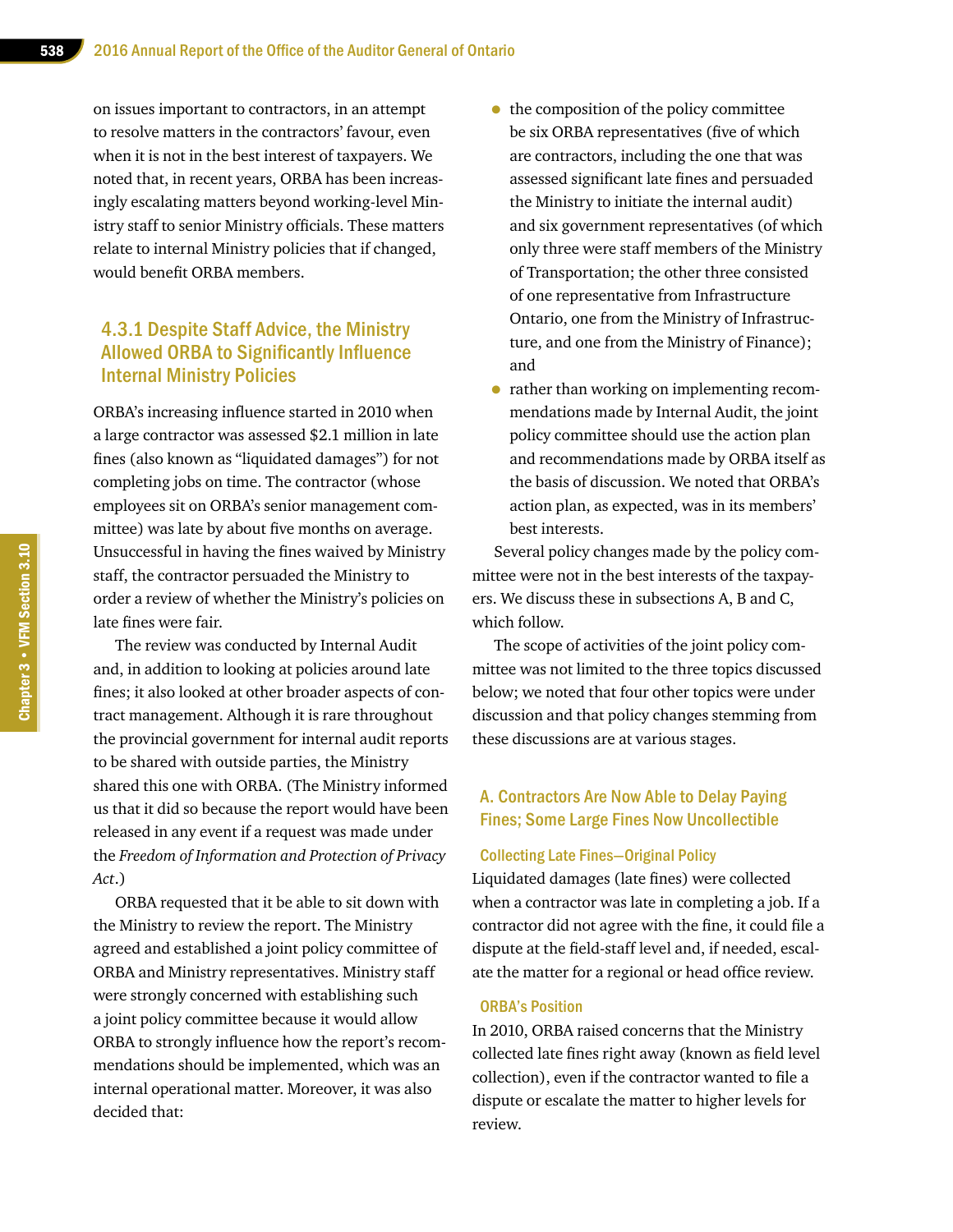on issues important to contractors, in an attempt to resolve matters in the contractors' favour, even when it is not in the best interest of taxpayers. We noted that, in recent years, ORBA has been increasingly escalating matters beyond working-level Ministry staff to senior Ministry officials. These matters relate to internal Ministry policies that if changed, would benefit ORBA members.

#### 4.3.1 Despite Staff Advice, the Ministry Allowed ORBA to Significantly Influence Internal Ministry Policies

ORBA's increasing influence started in 2010 when a large contractor was assessed \$2.1 million in late fines (also known as "liquidated damages") for not completing jobs on time. The contractor (whose employees sit on ORBA's senior management committee) was late by about five months on average. Unsuccessful in having the fines waived by Ministry staff, the contractor persuaded the Ministry to order a review of whether the Ministry's policies on late fines were fair.

The review was conducted by Internal Audit and, in addition to looking at policies around late fines; it also looked at other broader aspects of contract management. Although it is rare throughout the provincial government for internal audit reports to be shared with outside parties, the Ministry shared this one with ORBA. (The Ministry informed us that it did so because the report would have been released in any event if a request was made under the *Freedom of Information and Protection of Privacy Act*.)

ORBA requested that it be able to sit down with the Ministry to review the report. The Ministry agreed and established a joint policy committee of ORBA and Ministry representatives. Ministry staff were strongly concerned with establishing such a joint policy committee because it would allow ORBA to strongly influence how the report's recommendations should be implemented, which was an internal operational matter. Moreover, it was also decided that:

- the composition of the policy committee be six ORBA representatives (five of which are contractors, including the one that was assessed significant late fines and persuaded the Ministry to initiate the internal audit) and six government representatives (of which only three were staff members of the Ministry of Transportation; the other three consisted of one representative from Infrastructure Ontario, one from the Ministry of Infrastructure, and one from the Ministry of Finance); and
- rather than working on implementing recommendations made by Internal Audit, the joint policy committee should use the action plan and recommendations made by ORBA itself as the basis of discussion. We noted that ORBA's action plan, as expected, was in its members' best interests.

Several policy changes made by the policy committee were not in the best interests of the taxpayers. We discuss these in subsections A, B and C, which follow.

The scope of activities of the joint policy committee was not limited to the three topics discussed below; we noted that four other topics were under discussion and that policy changes stemming from these discussions are at various stages.

#### A. Contractors Are Now Able to Delay Paying Fines; Some Large Fines Now Uncollectible

#### Collecting Late Fines—Original Policy

Liquidated damages (late fines) were collected when a contractor was late in completing a job. If a contractor did not agree with the fine, it could file a dispute at the field-staff level and, if needed, escalate the matter for a regional or head office review.

#### ORBA's Position

In 2010, ORBA raised concerns that the Ministry collected late fines right away (known as field level collection), even if the contractor wanted to file a dispute or escalate the matter to higher levels for review.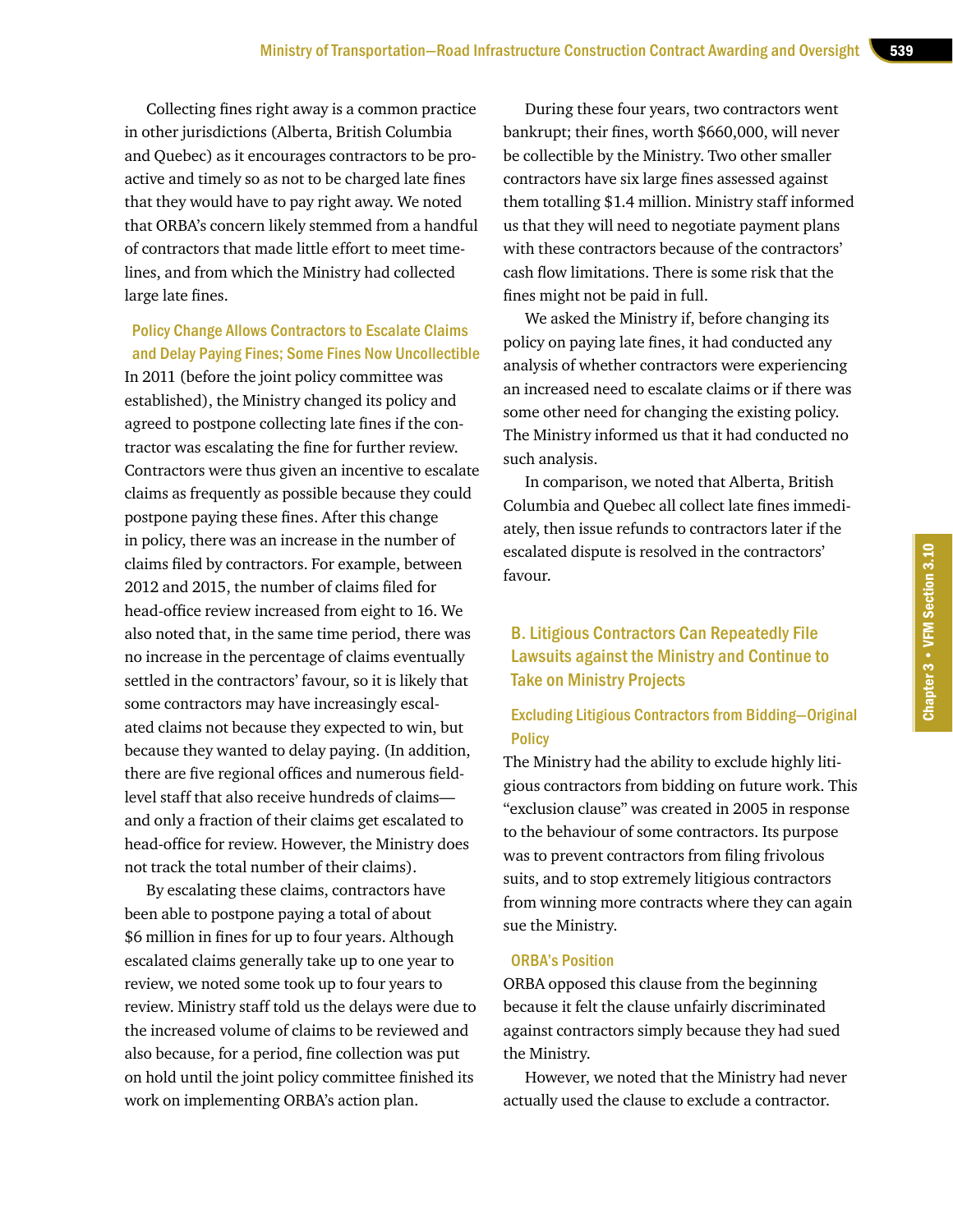Collecting fines right away is a common practice in other jurisdictions (Alberta, British Columbia and Quebec) as it encourages contractors to be proactive and timely so as not to be charged late fines that they would have to pay right away. We noted that ORBA's concern likely stemmed from a handful of contractors that made little effort to meet timelines, and from which the Ministry had collected large late fines.

Policy Change Allows Contractors to Escalate Claims and Delay Paying Fines; Some Fines Now Uncollectible

In 2011 (before the joint policy committee was established), the Ministry changed its policy and agreed to postpone collecting late fines if the contractor was escalating the fine for further review. Contractors were thus given an incentive to escalate claims as frequently as possible because they could postpone paying these fines. After this change in policy, there was an increase in the number of claims filed by contractors. For example, between 2012 and 2015, the number of claims filed for head-office review increased from eight to 16. We also noted that, in the same time period, there was no increase in the percentage of claims eventually settled in the contractors' favour, so it is likely that some contractors may have increasingly escalated claims not because they expected to win, but because they wanted to delay paying. (In addition, there are five regional offices and numerous fieldlevel staff that also receive hundreds of claims and only a fraction of their claims get escalated to head-office for review. However, the Ministry does not track the total number of their claims).

By escalating these claims, contractors have been able to postpone paying a total of about \$6 million in fines for up to four years. Although escalated claims generally take up to one year to review, we noted some took up to four years to review. Ministry staff told us the delays were due to the increased volume of claims to be reviewed and also because, for a period, fine collection was put on hold until the joint policy committee finished its work on implementing ORBA's action plan.

During these four years, two contractors went bankrupt; their fines, worth \$660,000, will never be collectible by the Ministry. Two other smaller contractors have six large fines assessed against them totalling \$1.4 million. Ministry staff informed us that they will need to negotiate payment plans with these contractors because of the contractors' cash flow limitations. There is some risk that the fines might not be paid in full.

We asked the Ministry if, before changing its policy on paying late fines, it had conducted any analysis of whether contractors were experiencing an increased need to escalate claims or if there was some other need for changing the existing policy. The Ministry informed us that it had conducted no such analysis.

In comparison, we noted that Alberta, British Columbia and Quebec all collect late fines immediately, then issue refunds to contractors later if the escalated dispute is resolved in the contractors' favour.

#### B. Litigious Contractors Can Repeatedly File Lawsuits against the Ministry and Continue to Take on Ministry Projects

#### Excluding Litigious Contractors from Bidding—Original **Policy**

The Ministry had the ability to exclude highly litigious contractors from bidding on future work. This "exclusion clause" was created in 2005 in response to the behaviour of some contractors. Its purpose was to prevent contractors from filing frivolous suits, and to stop extremely litigious contractors from winning more contracts where they can again sue the Ministry.

#### ORBA's Position

ORBA opposed this clause from the beginning because it felt the clause unfairly discriminated against contractors simply because they had sued the Ministry.

However, we noted that the Ministry had never actually used the clause to exclude a contractor.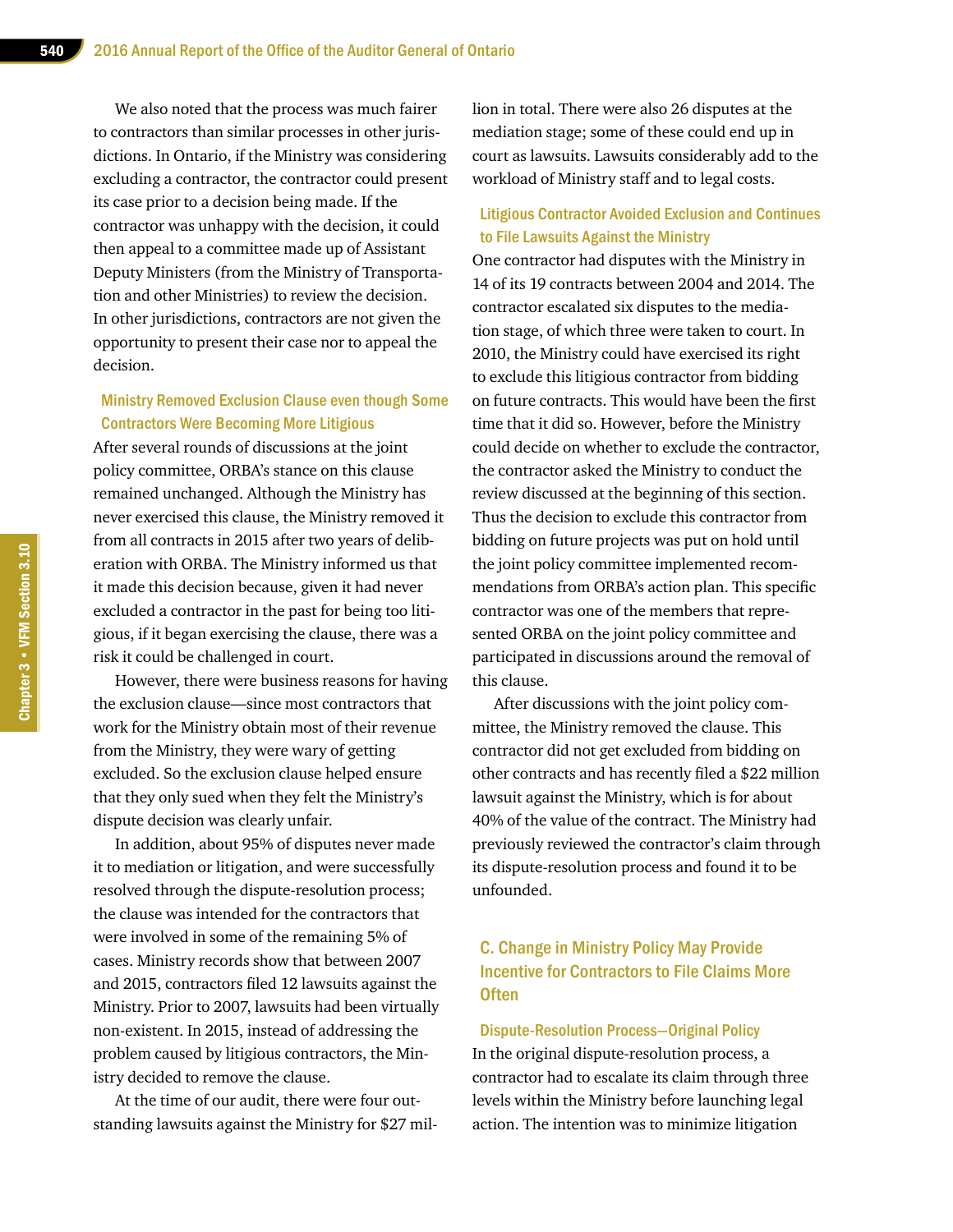We also noted that the process was much fairer to contractors than similar processes in other jurisdictions. In Ontario, if the Ministry was considering excluding a contractor, the contractor could present its case prior to a decision being made. If the contractor was unhappy with the decision, it could then appeal to a committee made up of Assistant Deputy Ministers (from the Ministry of Transportation and other Ministries) to review the decision. In other jurisdictions, contractors are not given the opportunity to present their case nor to appeal the decision.

#### Ministry Removed Exclusion Clause even though Some Contractors Were Becoming More Litigious

After several rounds of discussions at the joint policy committee, ORBA's stance on this clause remained unchanged. Although the Ministry has never exercised this clause, the Ministry removed it from all contracts in 2015 after two years of deliberation with ORBA. The Ministry informed us that it made this decision because, given it had never excluded a contractor in the past for being too litigious, if it began exercising the clause, there was a risk it could be challenged in court.

However, there were business reasons for having the exclusion clause—since most contractors that work for the Ministry obtain most of their revenue from the Ministry, they were wary of getting excluded. So the exclusion clause helped ensure that they only sued when they felt the Ministry's dispute decision was clearly unfair.

In addition, about 95% of disputes never made it to mediation or litigation, and were successfully resolved through the dispute-resolution process; the clause was intended for the contractors that were involved in some of the remaining 5% of cases. Ministry records show that between 2007 and 2015, contractors filed 12 lawsuits against the Ministry. Prior to 2007, lawsuits had been virtually non-existent. In 2015, instead of addressing the problem caused by litigious contractors, the Ministry decided to remove the clause.

At the time of our audit, there were four outstanding lawsuits against the Ministry for \$27 million in total. There were also 26 disputes at the mediation stage; some of these could end up in court as lawsuits. Lawsuits considerably add to the workload of Ministry staff and to legal costs.

#### Litigious Contractor Avoided Exclusion and Continues to File Lawsuits Against the Ministry

One contractor had disputes with the Ministry in 14 of its 19 contracts between 2004 and 2014. The contractor escalated six disputes to the mediation stage, of which three were taken to court. In 2010, the Ministry could have exercised its right to exclude this litigious contractor from bidding on future contracts. This would have been the first time that it did so. However, before the Ministry could decide on whether to exclude the contractor, the contractor asked the Ministry to conduct the review discussed at the beginning of this section. Thus the decision to exclude this contractor from bidding on future projects was put on hold until the joint policy committee implemented recommendations from ORBA's action plan. This specific contractor was one of the members that represented ORBA on the joint policy committee and participated in discussions around the removal of this clause.

After discussions with the joint policy committee, the Ministry removed the clause. This contractor did not get excluded from bidding on other contracts and has recently filed a \$22 million lawsuit against the Ministry, which is for about 40% of the value of the contract. The Ministry had previously reviewed the contractor's claim through its dispute-resolution process and found it to be unfounded.

#### C. Change in Ministry Policy May Provide Incentive for Contractors to File Claims More **Often**

#### Dispute-Resolution Process—Original Policy

In the original dispute-resolution process, a contractor had to escalate its claim through three levels within the Ministry before launching legal action. The intention was to minimize litigation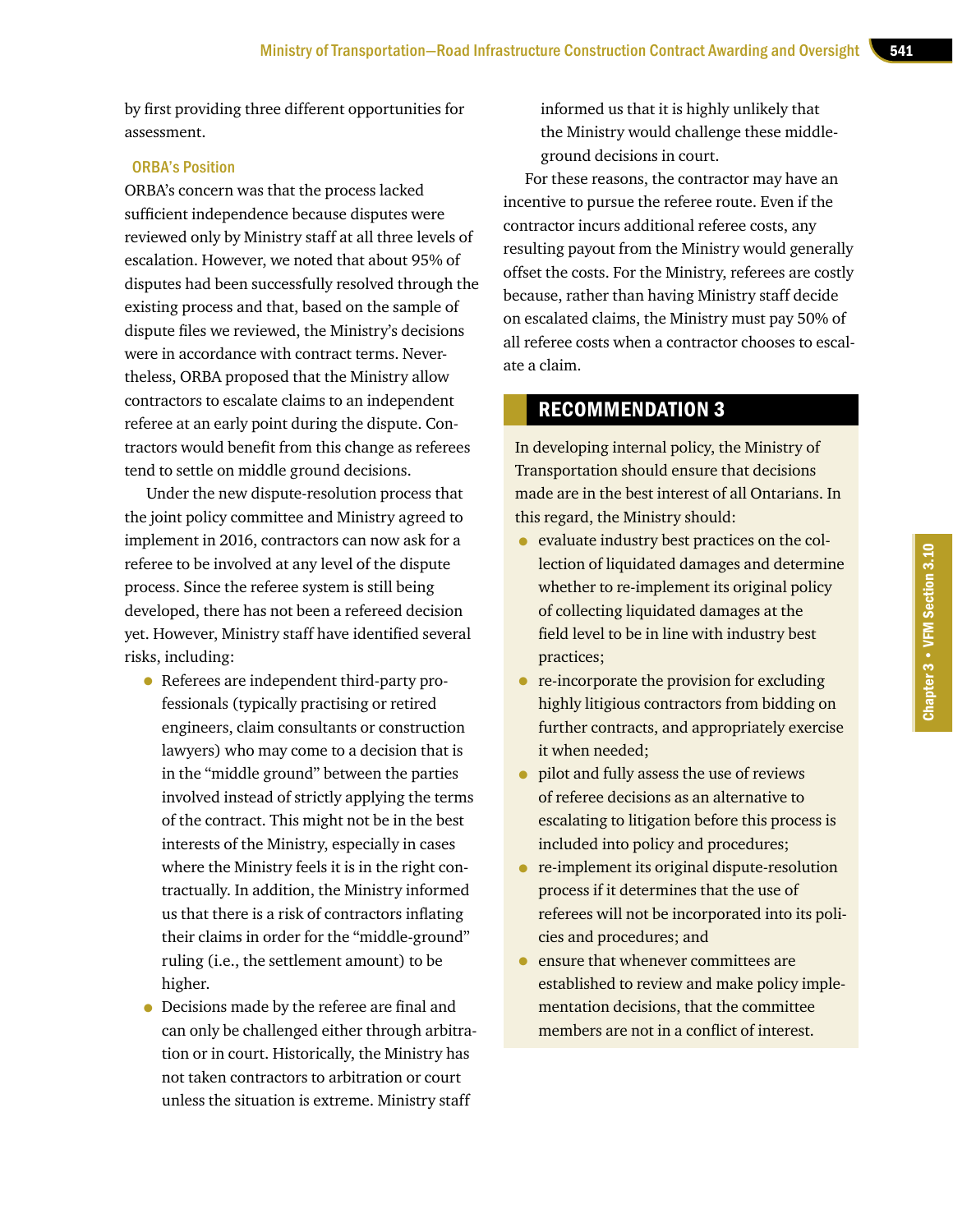by first providing three different opportunities for assessment.

#### ORBA's Position

ORBA's concern was that the process lacked sufficient independence because disputes were reviewed only by Ministry staff at all three levels of escalation. However, we noted that about 95% of disputes had been successfully resolved through the existing process and that, based on the sample of dispute files we reviewed, the Ministry's decisions were in accordance with contract terms. Nevertheless, ORBA proposed that the Ministry allow contractors to escalate claims to an independent referee at an early point during the dispute. Contractors would benefit from this change as referees tend to settle on middle ground decisions.

Under the new dispute-resolution process that the joint policy committee and Ministry agreed to implement in 2016, contractors can now ask for a referee to be involved at any level of the dispute process. Since the referee system is still being developed, there has not been a refereed decision yet. However, Ministry staff have identified several risks, including:

- Referees are independent third-party professionals (typically practising or retired engineers, claim consultants or construction lawyers) who may come to a decision that is in the "middle ground" between the parties involved instead of strictly applying the terms of the contract. This might not be in the best interests of the Ministry, especially in cases where the Ministry feels it is in the right contractually. In addition, the Ministry informed us that there is a risk of contractors inflating their claims in order for the "middle-ground" ruling (i.e., the settlement amount) to be higher.
- Decisions made by the referee are final and can only be challenged either through arbitration or in court. Historically, the Ministry has not taken contractors to arbitration or court unless the situation is extreme. Ministry staff

informed us that it is highly unlikely that the Ministry would challenge these middleground decisions in court.

For these reasons, the contractor may have an incentive to pursue the referee route. Even if the contractor incurs additional referee costs, any resulting payout from the Ministry would generally offset the costs. For the Ministry, referees are costly because, rather than having Ministry staff decide on escalated claims, the Ministry must pay 50% of all referee costs when a contractor chooses to escalate a claim.

#### RECOMMENDATION 3

In developing internal policy, the Ministry of Transportation should ensure that decisions made are in the best interest of all Ontarians. In this regard, the Ministry should:

- evaluate industry best practices on the collection of liquidated damages and determine whether to re-implement its original policy of collecting liquidated damages at the field level to be in line with industry best practices;
- re-incorporate the provision for excluding highly litigious contractors from bidding on further contracts, and appropriately exercise it when needed;
- pilot and fully assess the use of reviews of referee decisions as an alternative to escalating to litigation before this process is included into policy and procedures;
- re-implement its original dispute-resolution process if it determines that the use of referees will not be incorporated into its policies and procedures; and
- ensure that whenever committees are established to review and make policy implementation decisions, that the committee members are not in a conflict of interest.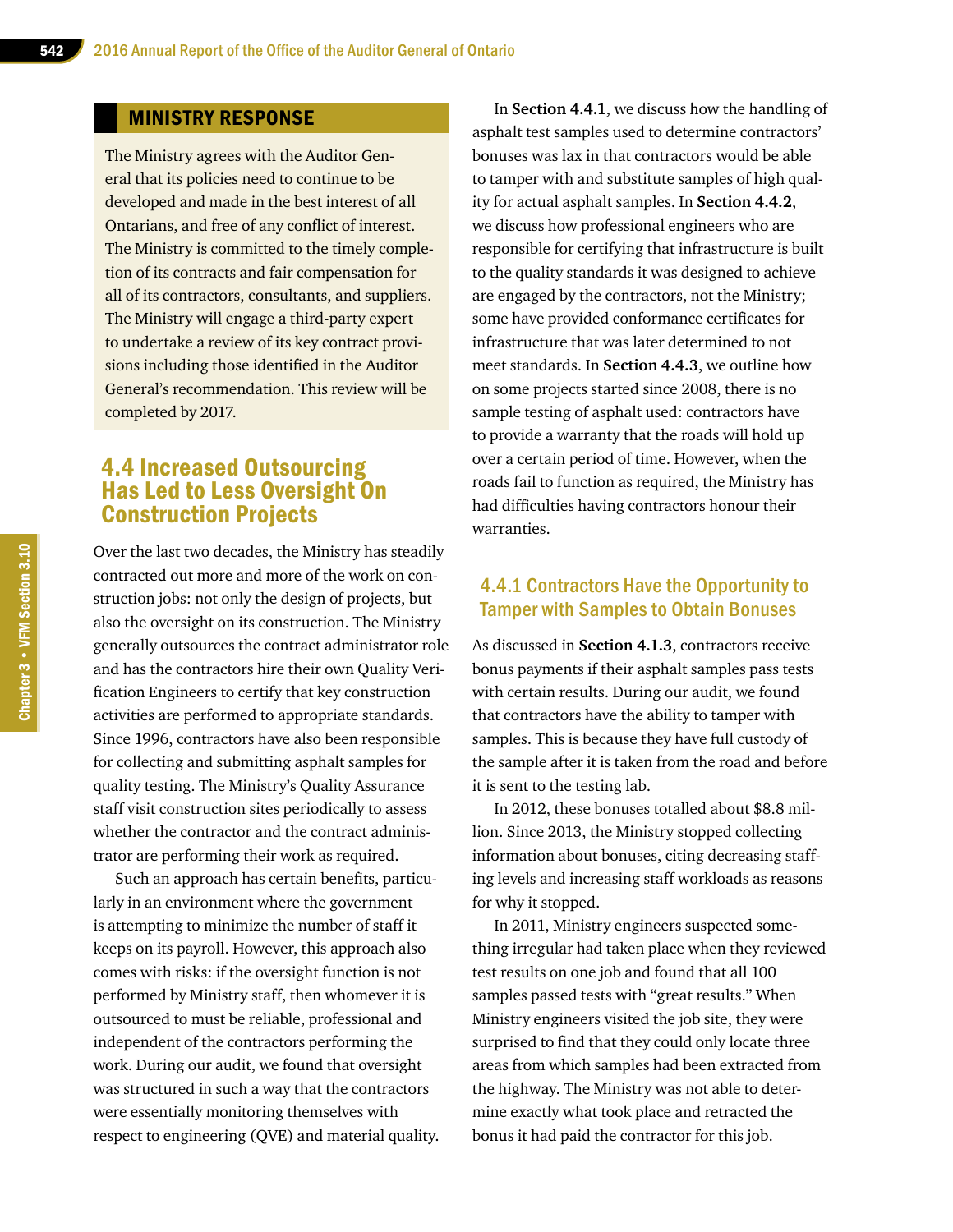#### MINISTRY RESPONSE

The Ministry agrees with the Auditor General that its policies need to continue to be developed and made in the best interest of all Ontarians, and free of any conflict of interest. The Ministry is committed to the timely completion of its contracts and fair compensation for all of its contractors, consultants, and suppliers. The Ministry will engage a third-party expert to undertake a review of its key contract provisions including those identified in the Auditor General's recommendation. This review will be completed by 2017.

## 4.4 Increased Outsourcing Has Led to Less Oversight On Construction Projects

Over the last two decades, the Ministry has steadily contracted out more and more of the work on construction jobs: not only the design of projects, but also the oversight on its construction. The Ministry generally outsources the contract administrator role and has the contractors hire their own Quality Verification Engineers to certify that key construction activities are performed to appropriate standards. Since 1996, contractors have also been responsible for collecting and submitting asphalt samples for quality testing. The Ministry's Quality Assurance staff visit construction sites periodically to assess whether the contractor and the contract administrator are performing their work as required.

Such an approach has certain benefits, particularly in an environment where the government is attempting to minimize the number of staff it keeps on its payroll. However, this approach also comes with risks: if the oversight function is not performed by Ministry staff, then whomever it is outsourced to must be reliable, professional and independent of the contractors performing the work. During our audit, we found that oversight was structured in such a way that the contractors were essentially monitoring themselves with respect to engineering (QVE) and material quality.

In **Section 4.4.1**, we discuss how the handling of asphalt test samples used to determine contractors' bonuses was lax in that contractors would be able to tamper with and substitute samples of high quality for actual asphalt samples. In **Section 4.4.2**, we discuss how professional engineers who are responsible for certifying that infrastructure is built to the quality standards it was designed to achieve are engaged by the contractors, not the Ministry; some have provided conformance certificates for infrastructure that was later determined to not meet standards. In **Section 4.4.3**, we outline how on some projects started since 2008, there is no sample testing of asphalt used: contractors have to provide a warranty that the roads will hold up over a certain period of time. However, when the roads fail to function as required, the Ministry has had difficulties having contractors honour their warranties.

#### 4.4.1 Contractors Have the Opportunity to Tamper with Samples to Obtain Bonuses

As discussed in **Section 4.1.3**, contractors receive bonus payments if their asphalt samples pass tests with certain results. During our audit, we found that contractors have the ability to tamper with samples. This is because they have full custody of the sample after it is taken from the road and before it is sent to the testing lab.

In 2012, these bonuses totalled about \$8.8 million. Since 2013, the Ministry stopped collecting information about bonuses, citing decreasing staffing levels and increasing staff workloads as reasons for why it stopped.

In 2011, Ministry engineers suspected something irregular had taken place when they reviewed test results on one job and found that all 100 samples passed tests with "great results." When Ministry engineers visited the job site, they were surprised to find that they could only locate three areas from which samples had been extracted from the highway. The Ministry was not able to determine exactly what took place and retracted the bonus it had paid the contractor for this job.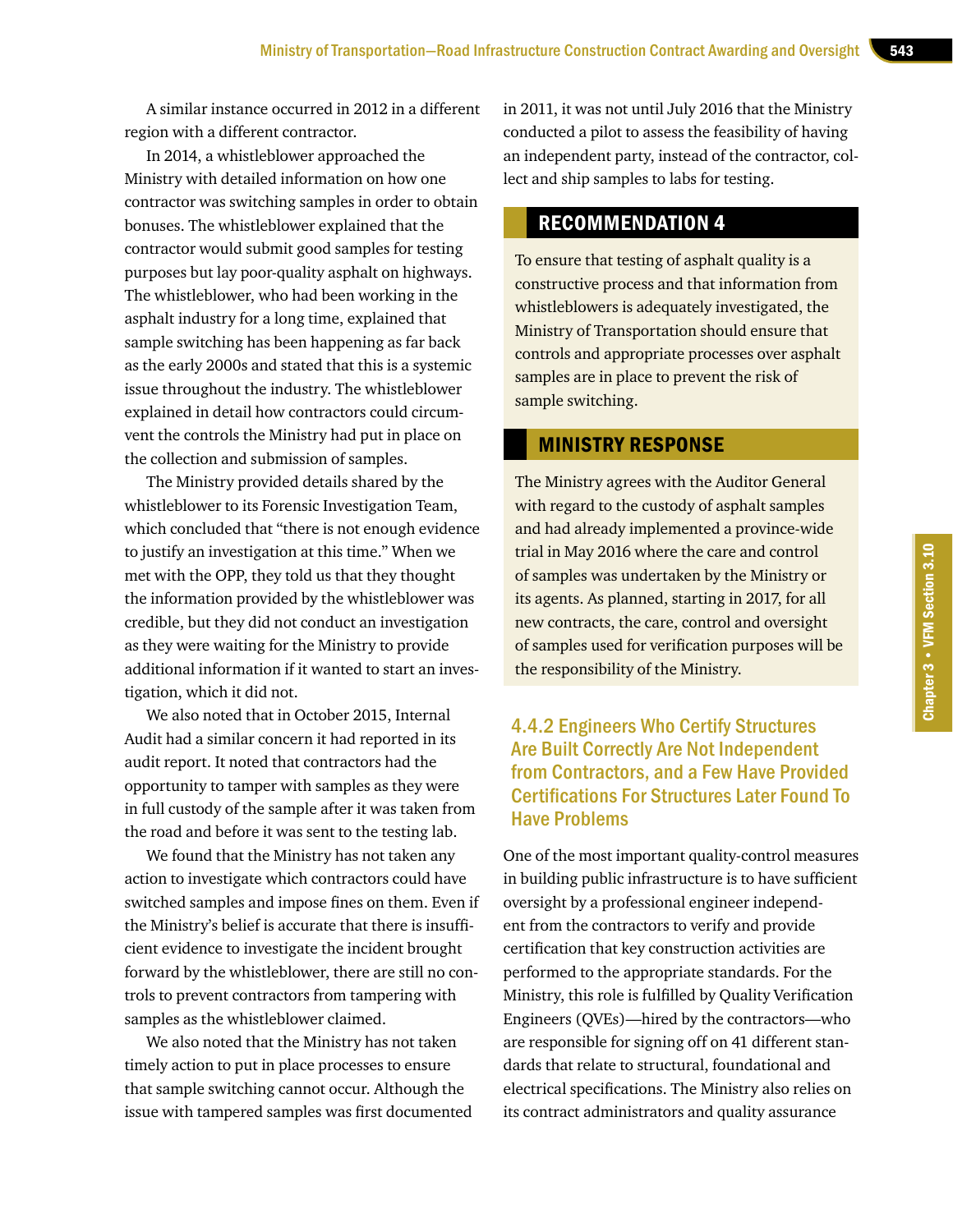A similar instance occurred in 2012 in a different region with a different contractor.

In 2014, a whistleblower approached the Ministry with detailed information on how one contractor was switching samples in order to obtain bonuses. The whistleblower explained that the contractor would submit good samples for testing purposes but lay poor-quality asphalt on highways. The whistleblower, who had been working in the asphalt industry for a long time, explained that sample switching has been happening as far back as the early 2000s and stated that this is a systemic issue throughout the industry. The whistleblower explained in detail how contractors could circumvent the controls the Ministry had put in place on the collection and submission of samples.

The Ministry provided details shared by the whistleblower to its Forensic Investigation Team, which concluded that "there is not enough evidence to justify an investigation at this time." When we met with the OPP, they told us that they thought the information provided by the whistleblower was credible, but they did not conduct an investigation as they were waiting for the Ministry to provide additional information if it wanted to start an investigation, which it did not.

We also noted that in October 2015, Internal Audit had a similar concern it had reported in its audit report. It noted that contractors had the opportunity to tamper with samples as they were in full custody of the sample after it was taken from the road and before it was sent to the testing lab.

We found that the Ministry has not taken any action to investigate which contractors could have switched samples and impose fines on them. Even if the Ministry's belief is accurate that there is insufficient evidence to investigate the incident brought forward by the whistleblower, there are still no controls to prevent contractors from tampering with samples as the whistleblower claimed.

We also noted that the Ministry has not taken timely action to put in place processes to ensure that sample switching cannot occur. Although the issue with tampered samples was first documented in 2011, it was not until July 2016 that the Ministry conducted a pilot to assess the feasibility of having an independent party, instead of the contractor, collect and ship samples to labs for testing.

#### RECOMMENDATION 4

To ensure that testing of asphalt quality is a constructive process and that information from whistleblowers is adequately investigated, the Ministry of Transportation should ensure that controls and appropriate processes over asphalt samples are in place to prevent the risk of sample switching.

#### MINISTRY RESPONSE

The Ministry agrees with the Auditor General with regard to the custody of asphalt samples and had already implemented a province-wide trial in May 2016 where the care and control of samples was undertaken by the Ministry or its agents. As planned, starting in 2017, for all new contracts, the care, control and oversight of samples used for verification purposes will be the responsibility of the Ministry.

#### 4.4.2 Engineers Who Certify Structures Are Built Correctly Are Not Independent from Contractors, and a Few Have Provided Certifications For Structures Later Found To Have Problems

One of the most important quality-control measures in building public infrastructure is to have sufficient oversight by a professional engineer independent from the contractors to verify and provide certification that key construction activities are performed to the appropriate standards. For the Ministry, this role is fulfilled by Quality Verification Engineers (QVEs)—hired by the contractors—who are responsible for signing off on 41 different standards that relate to structural, foundational and electrical specifications. The Ministry also relies on its contract administrators and quality assurance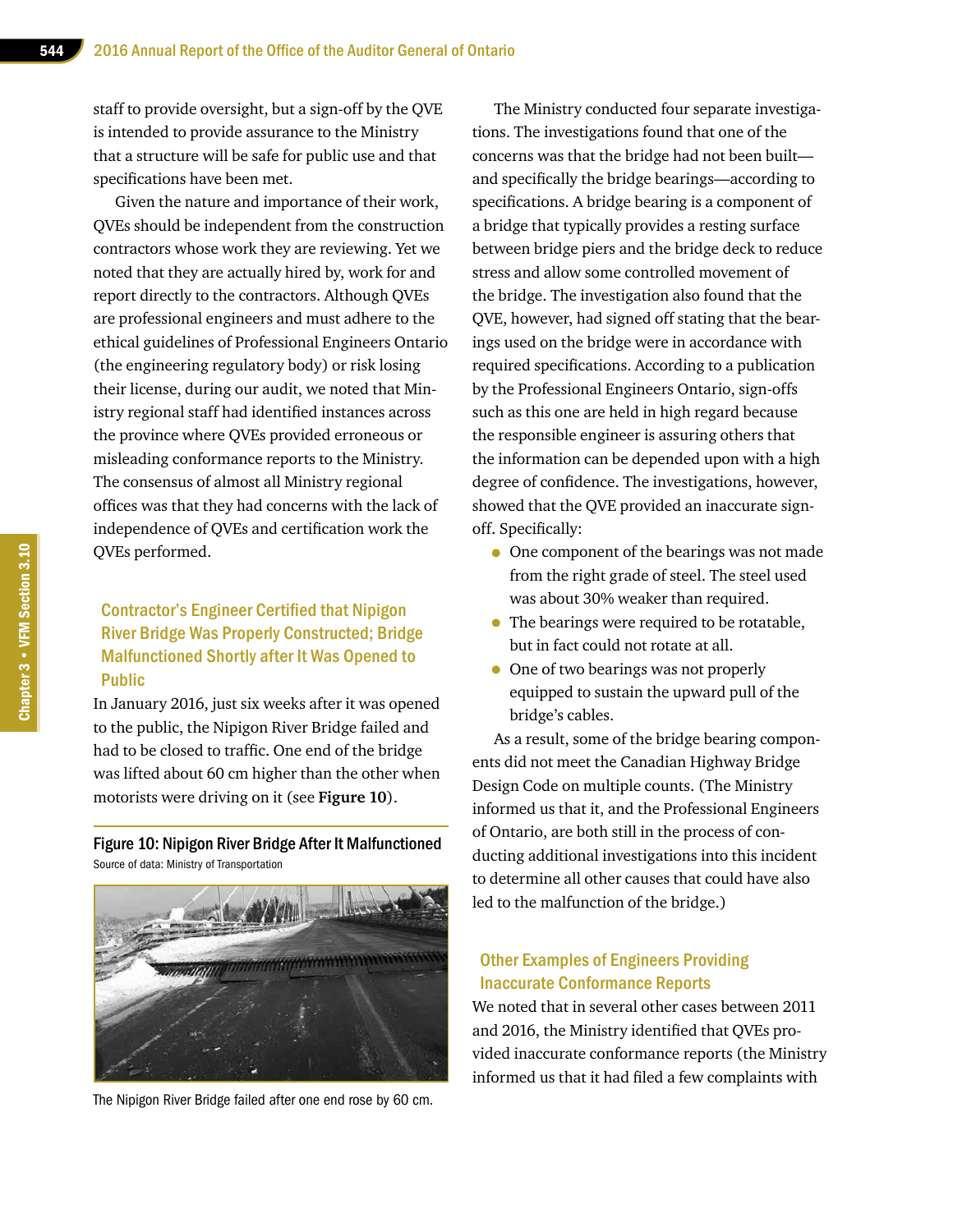staff to provide oversight, but a sign-off by the QVE is intended to provide assurance to the Ministry that a structure will be safe for public use and that specifications have been met.

Given the nature and importance of their work, QVEs should be independent from the construction contractors whose work they are reviewing. Yet we noted that they are actually hired by, work for and report directly to the contractors. Although QVEs are professional engineers and must adhere to the ethical guidelines of Professional Engineers Ontario (the engineering regulatory body) or risk losing their license, during our audit, we noted that Ministry regional staff had identified instances across the province where QVEs provided erroneous or misleading conformance reports to the Ministry. The consensus of almost all Ministry regional offices was that they had concerns with the lack of independence of QVEs and certification work the QVEs performed.

#### Contractor's Engineer Certified that Nipigon River Bridge Was Properly Constructed; Bridge Malfunctioned Shortly after It Was Opened to Public

In January 2016, just six weeks after it was opened to the public, the Nipigon River Bridge failed and had to be closed to traffic. One end of the bridge was lifted about 60 cm higher than the other when motorists were driving on it (see **Figure 10**).

Figure 10: Nipigon River Bridge After It Malfunctioned Source of data: Ministry of Transportation



The Nipigon River Bridge failed after one end rose by 60 cm.

The Ministry conducted four separate investigations. The investigations found that one of the concerns was that the bridge had not been built and specifically the bridge bearings—according to specifications. A bridge bearing is a component of a bridge that typically provides a resting surface between bridge piers and the bridge deck to reduce stress and allow some controlled movement of the bridge. The investigation also found that the QVE, however, had signed off stating that the bearings used on the bridge were in accordance with required specifications. According to a publication by the Professional Engineers Ontario, sign-offs such as this one are held in high regard because the responsible engineer is assuring others that the information can be depended upon with a high degree of confidence. The investigations, however, showed that the QVE provided an inaccurate signoff. Specifically:

- One component of the bearings was not made from the right grade of steel. The steel used was about 30% weaker than required.
- The bearings were required to be rotatable, but in fact could not rotate at all.
- One of two bearings was not properly equipped to sustain the upward pull of the bridge's cables.

As a result, some of the bridge bearing components did not meet the Canadian Highway Bridge Design Code on multiple counts. (The Ministry informed us that it, and the Professional Engineers of Ontario, are both still in the process of conducting additional investigations into this incident to determine all other causes that could have also led to the malfunction of the bridge.)

#### Other Examples of Engineers Providing Inaccurate Conformance Reports

We noted that in several other cases between 2011 and 2016, the Ministry identified that QVEs provided inaccurate conformance reports (the Ministry informed us that it had filed a few complaints with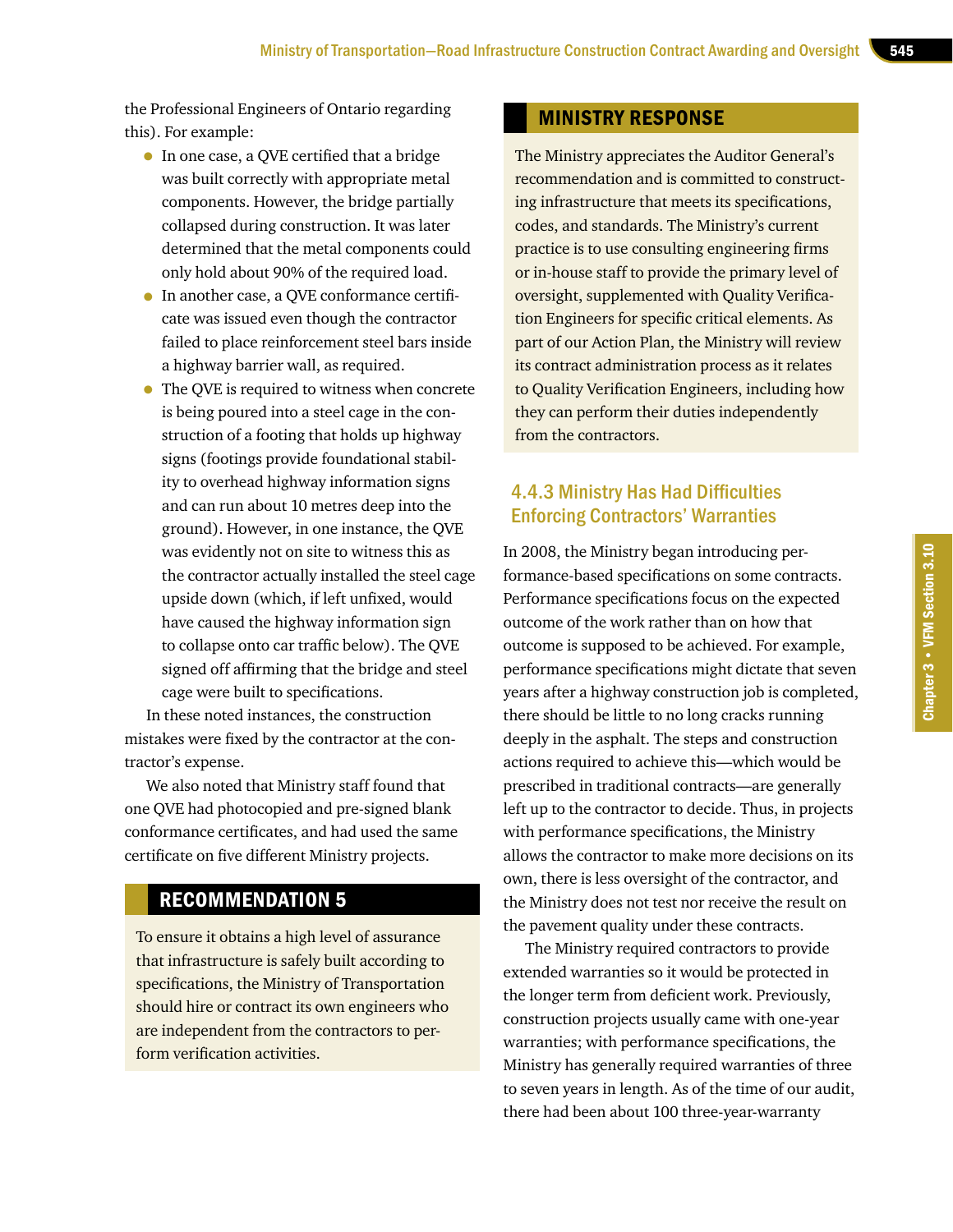the Professional Engineers of Ontario regarding this). For example:

- In one case, a QVE certified that a bridge was built correctly with appropriate metal components. However, the bridge partially collapsed during construction. It was later determined that the metal components could only hold about 90% of the required load.
- In another case, a QVE conformance certificate was issued even though the contractor failed to place reinforcement steel bars inside a highway barrier wall, as required.
- The QVE is required to witness when concrete is being poured into a steel cage in the construction of a footing that holds up highway signs (footings provide foundational stability to overhead highway information signs and can run about 10 metres deep into the ground). However, in one instance, the QVE was evidently not on site to witness this as the contractor actually installed the steel cage upside down (which, if left unfixed, would have caused the highway information sign to collapse onto car traffic below). The QVE signed off affirming that the bridge and steel cage were built to specifications.

In these noted instances, the construction mistakes were fixed by the contractor at the contractor's expense.

We also noted that Ministry staff found that one QVE had photocopied and pre-signed blank conformance certificates, and had used the same certificate on five different Ministry projects.

#### RECOMMENDATION 5

To ensure it obtains a high level of assurance that infrastructure is safely built according to specifications, the Ministry of Transportation should hire or contract its own engineers who are independent from the contractors to perform verification activities.

#### MINISTRY RESPONSE

The Ministry appreciates the Auditor General's recommendation and is committed to constructing infrastructure that meets its specifications, codes, and standards. The Ministry's current practice is to use consulting engineering firms or in-house staff to provide the primary level of oversight, supplemented with Quality Verification Engineers for specific critical elements. As part of our Action Plan, the Ministry will review its contract administration process as it relates to Quality Verification Engineers, including how they can perform their duties independently from the contractors.

## 4.4.3 Ministry Has Had Difficulties Enforcing Contractors' Warranties

In 2008, the Ministry began introducing performance-based specifications on some contracts. Performance specifications focus on the expected outcome of the work rather than on how that outcome is supposed to be achieved. For example, performance specifications might dictate that seven years after a highway construction job is completed, there should be little to no long cracks running deeply in the asphalt. The steps and construction actions required to achieve this—which would be prescribed in traditional contracts—are generally left up to the contractor to decide. Thus, in projects with performance specifications, the Ministry allows the contractor to make more decisions on its own, there is less oversight of the contractor, and the Ministry does not test nor receive the result on the pavement quality under these contracts.

The Ministry required contractors to provide extended warranties so it would be protected in the longer term from deficient work. Previously, construction projects usually came with one-year warranties; with performance specifications, the Ministry has generally required warranties of three to seven years in length. As of the time of our audit, there had been about 100 three-year-warranty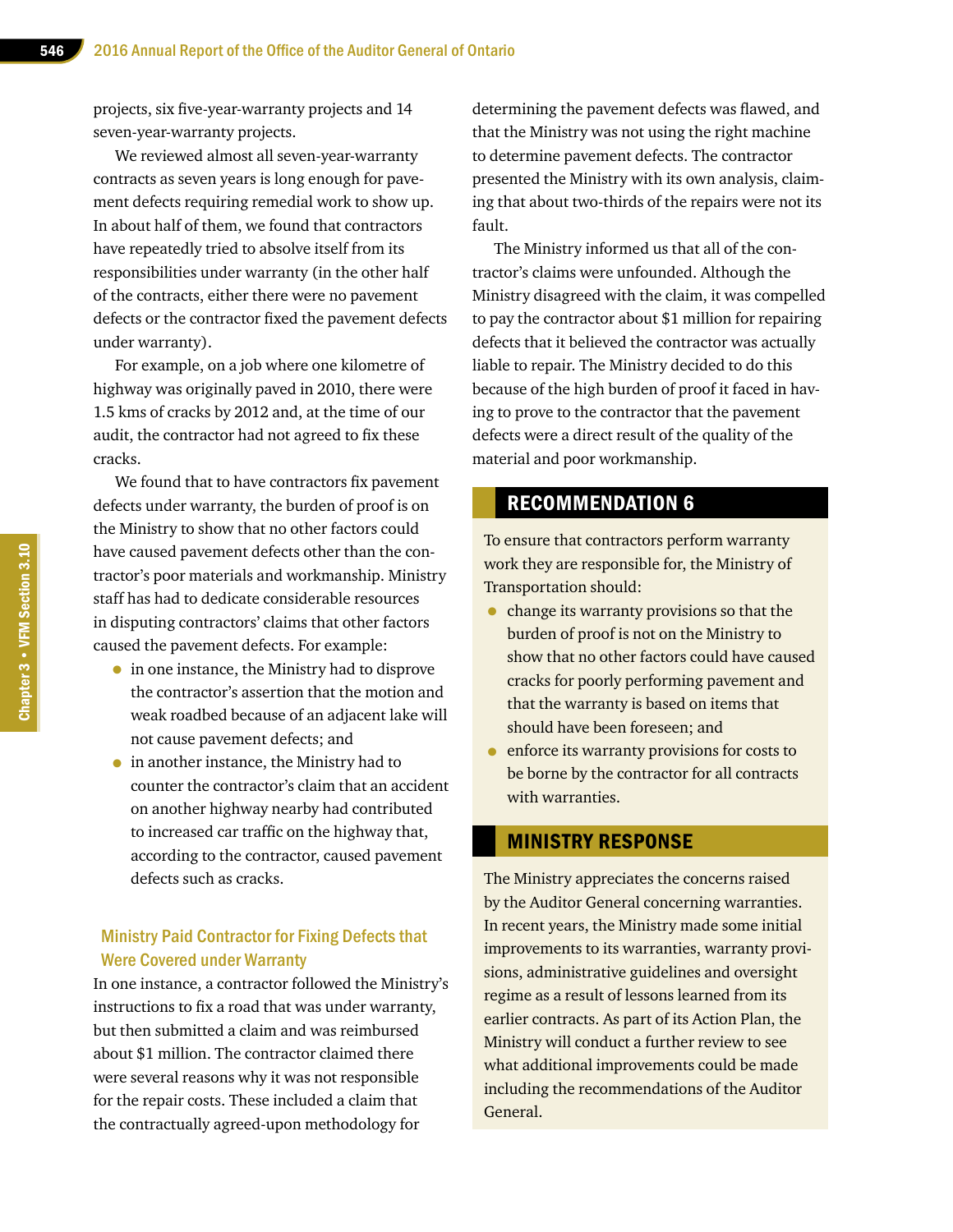projects, six five-year-warranty projects and 14 seven-year-warranty projects.

We reviewed almost all seven-year-warranty contracts as seven years is long enough for pavement defects requiring remedial work to show up. In about half of them, we found that contractors have repeatedly tried to absolve itself from its responsibilities under warranty (in the other half of the contracts, either there were no pavement defects or the contractor fixed the pavement defects under warranty).

For example, on a job where one kilometre of highway was originally paved in 2010, there were 1.5 kms of cracks by 2012 and, at the time of our audit, the contractor had not agreed to fix these cracks.

We found that to have contractors fix pavement defects under warranty, the burden of proof is on the Ministry to show that no other factors could have caused pavement defects other than the contractor's poor materials and workmanship. Ministry staff has had to dedicate considerable resources in disputing contractors' claims that other factors caused the pavement defects. For example:

- in one instance, the Ministry had to disprove the contractor's assertion that the motion and weak roadbed because of an adjacent lake will not cause pavement defects; and
- in another instance, the Ministry had to counter the contractor's claim that an accident on another highway nearby had contributed to increased car traffic on the highway that, according to the contractor, caused pavement defects such as cracks.

#### Ministry Paid Contractor for Fixing Defects that Were Covered under Warranty

In one instance, a contractor followed the Ministry's instructions to fix a road that was under warranty, but then submitted a claim and was reimbursed about \$1 million. The contractor claimed there were several reasons why it was not responsible for the repair costs. These included a claim that the contractually agreed-upon methodology for

determining the pavement defects was flawed, and that the Ministry was not using the right machine to determine pavement defects. The contractor presented the Ministry with its own analysis, claiming that about two-thirds of the repairs were not its fault.

The Ministry informed us that all of the contractor's claims were unfounded. Although the Ministry disagreed with the claim, it was compelled to pay the contractor about \$1 million for repairing defects that it believed the contractor was actually liable to repair. The Ministry decided to do this because of the high burden of proof it faced in having to prove to the contractor that the pavement defects were a direct result of the quality of the material and poor workmanship.

#### RECOMMENDATION 6

To ensure that contractors perform warranty work they are responsible for, the Ministry of Transportation should:

- change its warranty provisions so that the burden of proof is not on the Ministry to show that no other factors could have caused cracks for poorly performing pavement and that the warranty is based on items that should have been foreseen; and
- enforce its warranty provisions for costs to be borne by the contractor for all contracts with warranties.

#### MINISTRY RESPONSE

The Ministry appreciates the concerns raised by the Auditor General concerning warranties. In recent years, the Ministry made some initial improvements to its warranties, warranty provisions, administrative guidelines and oversight regime as a result of lessons learned from its earlier contracts. As part of its Action Plan, the Ministry will conduct a further review to see what additional improvements could be made including the recommendations of the Auditor General.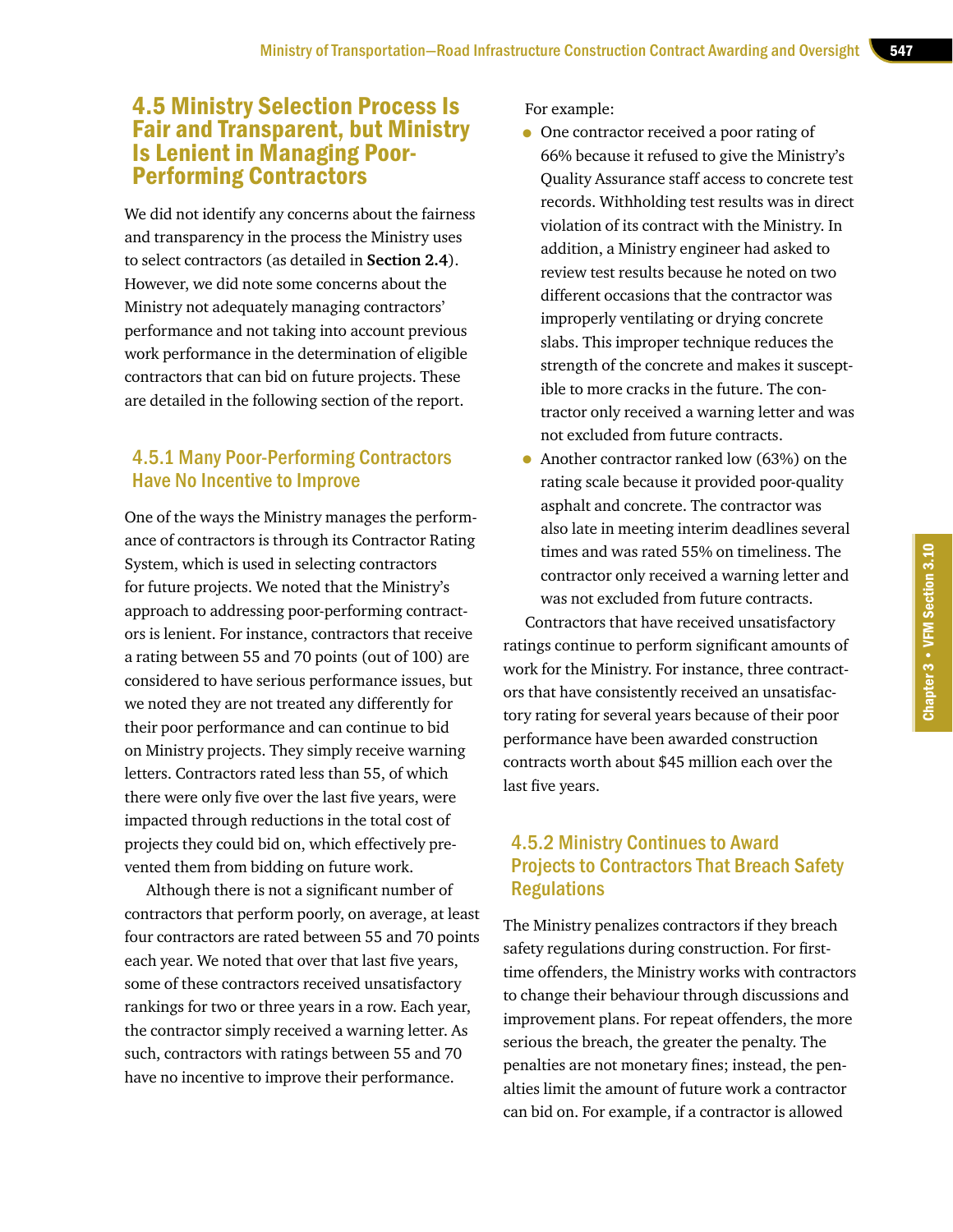## 4.5 Ministry Selection Process Is Fair and Transparent, but Ministry Is Lenient in Managing Poor-Performing Contractors

We did not identify any concerns about the fairness and transparency in the process the Ministry uses to select contractors (as detailed in **Section 2.4**). However, we did note some concerns about the Ministry not adequately managing contractors' performance and not taking into account previous work performance in the determination of eligible contractors that can bid on future projects. These are detailed in the following section of the report.

#### 4.5.1 Many Poor-Performing Contractors Have No Incentive to Improve

One of the ways the Ministry manages the performance of contractors is through its Contractor Rating System, which is used in selecting contractors for future projects. We noted that the Ministry's approach to addressing poor-performing contractors is lenient. For instance, contractors that receive a rating between 55 and 70 points (out of 100) are considered to have serious performance issues, but we noted they are not treated any differently for their poor performance and can continue to bid on Ministry projects. They simply receive warning letters. Contractors rated less than 55, of which there were only five over the last five years, were impacted through reductions in the total cost of projects they could bid on, which effectively prevented them from bidding on future work.

Although there is not a significant number of contractors that perform poorly, on average, at least four contractors are rated between 55 and 70 points each year. We noted that over that last five years, some of these contractors received unsatisfactory rankings for two or three years in a row. Each year, the contractor simply received a warning letter. As such, contractors with ratings between 55 and 70 have no incentive to improve their performance.

For example:

- One contractor received a poor rating of 66% because it refused to give the Ministry's Quality Assurance staff access to concrete test records. Withholding test results was in direct violation of its contract with the Ministry. In addition, a Ministry engineer had asked to review test results because he noted on two different occasions that the contractor was improperly ventilating or drying concrete slabs. This improper technique reduces the strength of the concrete and makes it susceptible to more cracks in the future. The contractor only received a warning letter and was not excluded from future contracts.
- Another contractor ranked low (63%) on the rating scale because it provided poor-quality asphalt and concrete. The contractor was also late in meeting interim deadlines several times and was rated 55% on timeliness. The contractor only received a warning letter and was not excluded from future contracts.

Contractors that have received unsatisfactory ratings continue to perform significant amounts of work for the Ministry. For instance, three contractors that have consistently received an unsatisfactory rating for several years because of their poor performance have been awarded construction contracts worth about \$45 million each over the last five years.

## 4.5.2 Ministry Continues to Award Projects to Contractors That Breach Safety **Regulations**

The Ministry penalizes contractors if they breach safety regulations during construction. For firsttime offenders, the Ministry works with contractors to change their behaviour through discussions and improvement plans. For repeat offenders, the more serious the breach, the greater the penalty. The penalties are not monetary fines; instead, the penalties limit the amount of future work a contractor can bid on. For example, if a contractor is allowed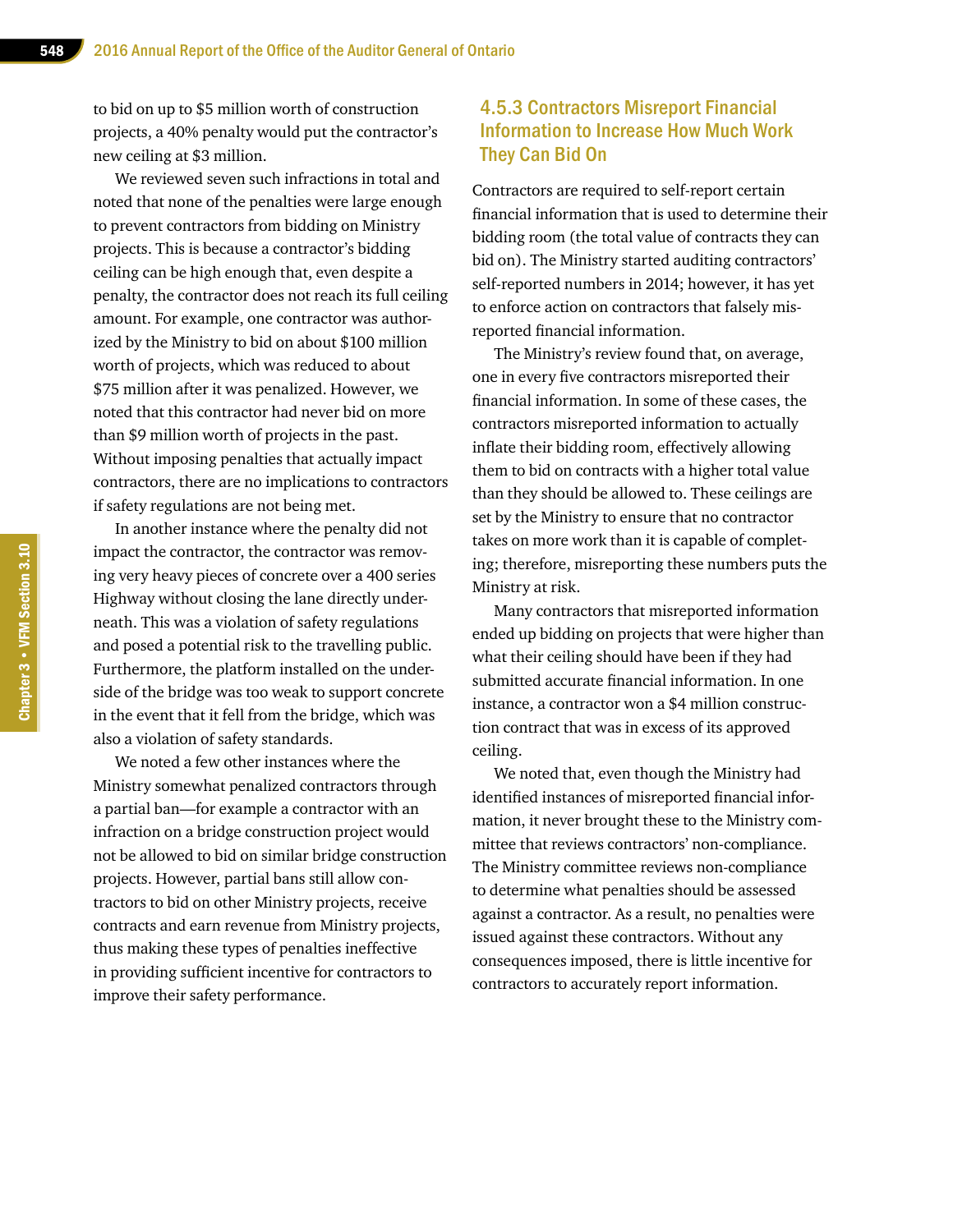to bid on up to \$5 million worth of construction projects, a 40% penalty would put the contractor's new ceiling at \$3 million.

We reviewed seven such infractions in total and noted that none of the penalties were large enough to prevent contractors from bidding on Ministry projects. This is because a contractor's bidding ceiling can be high enough that, even despite a penalty, the contractor does not reach its full ceiling amount. For example, one contractor was authorized by the Ministry to bid on about \$100 million worth of projects, which was reduced to about \$75 million after it was penalized. However, we noted that this contractor had never bid on more than \$9 million worth of projects in the past. Without imposing penalties that actually impact contractors, there are no implications to contractors if safety regulations are not being met.

In another instance where the penalty did not impact the contractor, the contractor was removing very heavy pieces of concrete over a 400 series Highway without closing the lane directly underneath. This was a violation of safety regulations and posed a potential risk to the travelling public. Furthermore, the platform installed on the underside of the bridge was too weak to support concrete in the event that it fell from the bridge, which was also a violation of safety standards.

We noted a few other instances where the Ministry somewhat penalized contractors through a partial ban—for example a contractor with an infraction on a bridge construction project would not be allowed to bid on similar bridge construction projects. However, partial bans still allow contractors to bid on other Ministry projects, receive contracts and earn revenue from Ministry projects, thus making these types of penalties ineffective in providing sufficient incentive for contractors to improve their safety performance.

#### 4.5.3 Contractors Misreport Financial Information to Increase How Much Work They Can Bid On

Contractors are required to self-report certain financial information that is used to determine their bidding room (the total value of contracts they can bid on). The Ministry started auditing contractors' self-reported numbers in 2014; however, it has yet to enforce action on contractors that falsely misreported financial information.

The Ministry's review found that, on average, one in every five contractors misreported their financial information. In some of these cases, the contractors misreported information to actually inflate their bidding room, effectively allowing them to bid on contracts with a higher total value than they should be allowed to. These ceilings are set by the Ministry to ensure that no contractor takes on more work than it is capable of completing; therefore, misreporting these numbers puts the Ministry at risk.

Many contractors that misreported information ended up bidding on projects that were higher than what their ceiling should have been if they had submitted accurate financial information. In one instance, a contractor won a \$4 million construction contract that was in excess of its approved ceiling.

We noted that, even though the Ministry had identified instances of misreported financial information, it never brought these to the Ministry committee that reviews contractors' non-compliance. The Ministry committee reviews non-compliance to determine what penalties should be assessed against a contractor. As a result, no penalties were issued against these contractors. Without any consequences imposed, there is little incentive for contractors to accurately report information.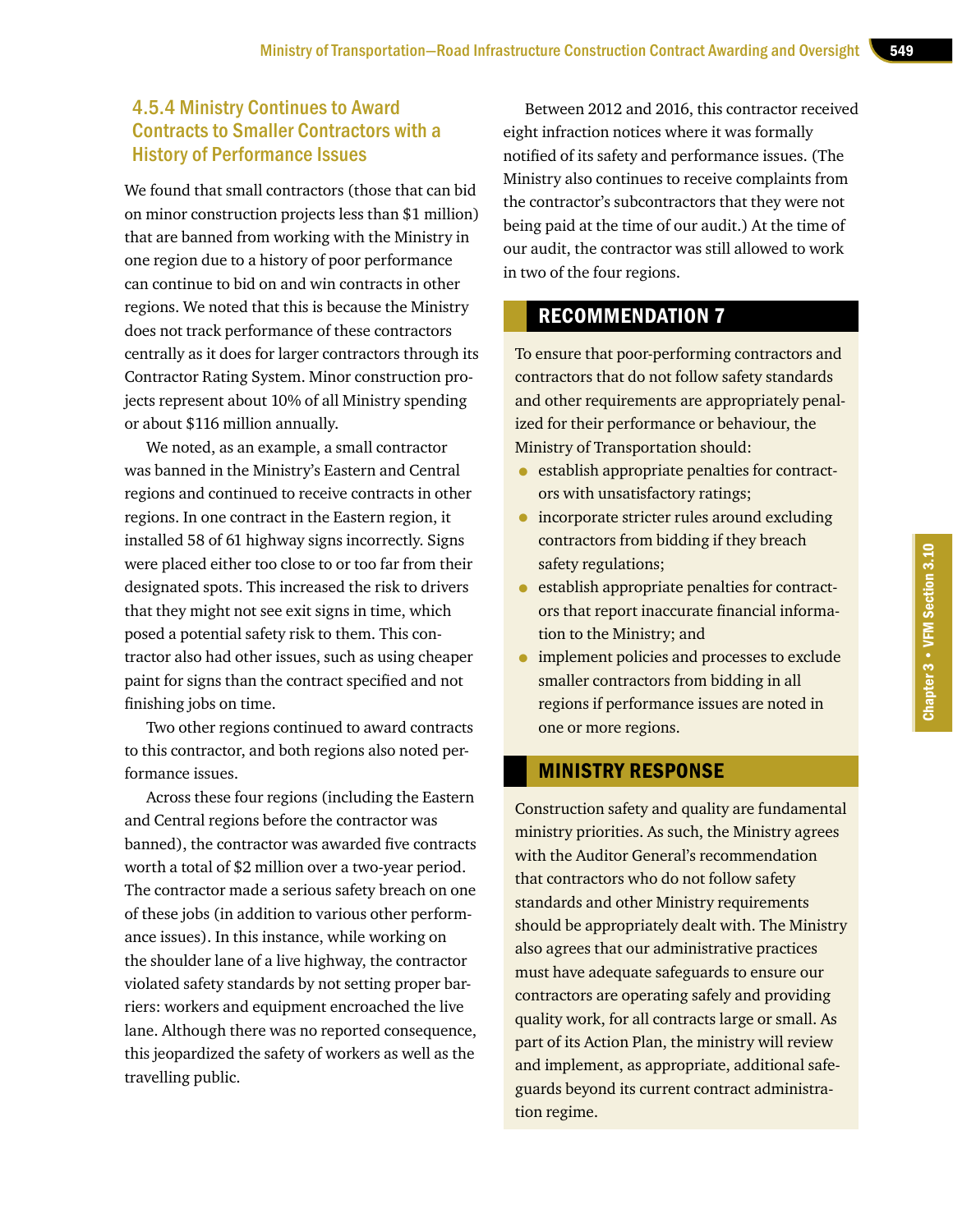#### 4.5.4 Ministry Continues to Award Contracts to Smaller Contractors with a History of Performance Issues

We found that small contractors (those that can bid on minor construction projects less than \$1 million) that are banned from working with the Ministry in one region due to a history of poor performance can continue to bid on and win contracts in other regions. We noted that this is because the Ministry does not track performance of these contractors centrally as it does for larger contractors through its Contractor Rating System. Minor construction projects represent about 10% of all Ministry spending or about \$116 million annually.

We noted, as an example, a small contractor was banned in the Ministry's Eastern and Central regions and continued to receive contracts in other regions. In one contract in the Eastern region, it installed 58 of 61 highway signs incorrectly. Signs were placed either too close to or too far from their designated spots. This increased the risk to drivers that they might not see exit signs in time, which posed a potential safety risk to them. This contractor also had other issues, such as using cheaper paint for signs than the contract specified and not finishing jobs on time.

Two other regions continued to award contracts to this contractor, and both regions also noted performance issues.

Across these four regions (including the Eastern and Central regions before the contractor was banned), the contractor was awarded five contracts worth a total of \$2 million over a two-year period. The contractor made a serious safety breach on one of these jobs (in addition to various other performance issues). In this instance, while working on the shoulder lane of a live highway, the contractor violated safety standards by not setting proper barriers: workers and equipment encroached the live lane. Although there was no reported consequence, this jeopardized the safety of workers as well as the travelling public.

Between 2012 and 2016, this contractor received eight infraction notices where it was formally notified of its safety and performance issues. (The Ministry also continues to receive complaints from the contractor's subcontractors that they were not being paid at the time of our audit.) At the time of our audit, the contractor was still allowed to work in two of the four regions.

#### RECOMMENDATION 7

To ensure that poor-performing contractors and contractors that do not follow safety standards and other requirements are appropriately penalized for their performance or behaviour, the Ministry of Transportation should:

- establish appropriate penalties for contractors with unsatisfactory ratings;
- incorporate stricter rules around excluding contractors from bidding if they breach safety regulations;
- establish appropriate penalties for contractors that report inaccurate financial information to the Ministry; and
- implement policies and processes to exclude smaller contractors from bidding in all regions if performance issues are noted in one or more regions.

#### MINISTRY RESPONSE

Construction safety and quality are fundamental ministry priorities. As such, the Ministry agrees with the Auditor General's recommendation that contractors who do not follow safety standards and other Ministry requirements should be appropriately dealt with. The Ministry also agrees that our administrative practices must have adequate safeguards to ensure our contractors are operating safely and providing quality work, for all contracts large or small. As part of its Action Plan, the ministry will review and implement, as appropriate, additional safeguards beyond its current contract administration regime.